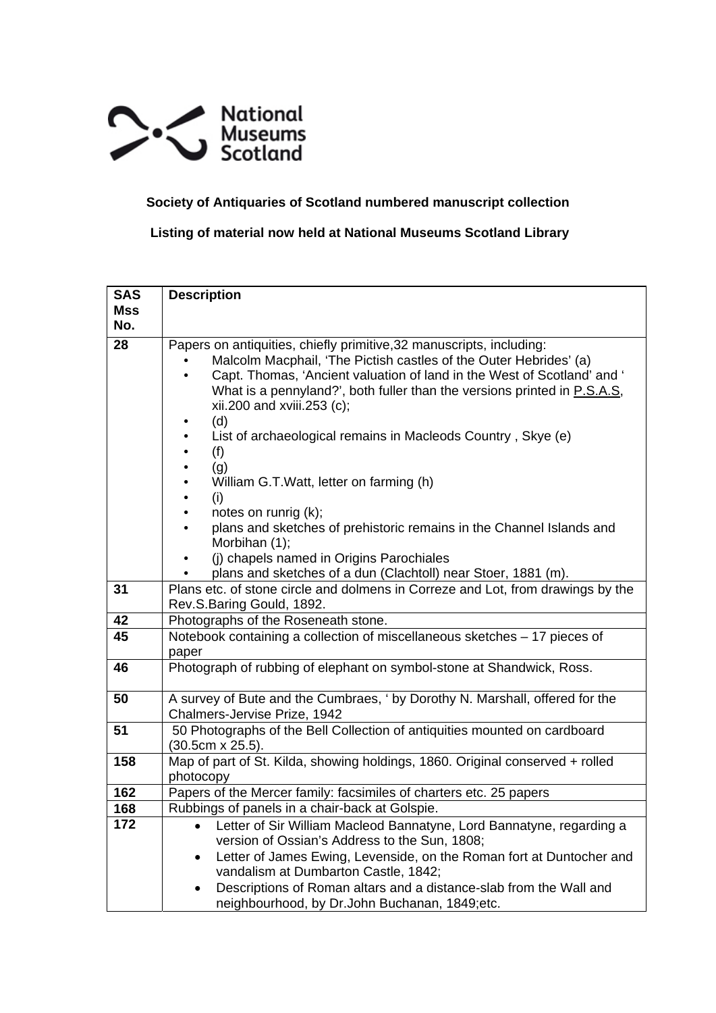

## **Society of Antiquaries of Scotland numbered manuscript collection**

 **Listing of material now held at National Museums Scotland Library** 

| <b>SAS</b> | <b>Description</b>                                                                                                                                                                                                                                                                                                                          |
|------------|---------------------------------------------------------------------------------------------------------------------------------------------------------------------------------------------------------------------------------------------------------------------------------------------------------------------------------------------|
| <b>Mss</b> |                                                                                                                                                                                                                                                                                                                                             |
| No.        |                                                                                                                                                                                                                                                                                                                                             |
| 28         | Papers on antiquities, chiefly primitive, 32 manuscripts, including:<br>Malcolm Macphail, 'The Pictish castles of the Outer Hebrides' (a)<br>Capt. Thomas, 'Ancient valuation of land in the West of Scotland' and '<br>$\bullet$<br>What is a pennyland?', both fuller than the versions printed in P.S.A.S,<br>xii.200 and xviii.253 (c); |
|            | (d)                                                                                                                                                                                                                                                                                                                                         |
|            | List of archaeological remains in Macleods Country, Skye (e)<br>$\bullet$                                                                                                                                                                                                                                                                   |
|            | (f)<br>$\bullet$                                                                                                                                                                                                                                                                                                                            |
|            | (g)<br>$\bullet$                                                                                                                                                                                                                                                                                                                            |
|            | William G.T. Watt, letter on farming (h)<br>٠<br>$\bullet$                                                                                                                                                                                                                                                                                  |
|            | (i)<br>notes on runrig (k);<br>$\bullet$                                                                                                                                                                                                                                                                                                    |
|            | plans and sketches of prehistoric remains in the Channel Islands and<br>$\bullet$                                                                                                                                                                                                                                                           |
|            | Morbihan (1);                                                                                                                                                                                                                                                                                                                               |
|            | (i) chapels named in Origins Parochiales                                                                                                                                                                                                                                                                                                    |
|            | plans and sketches of a dun (Clachtoll) near Stoer, 1881 (m).                                                                                                                                                                                                                                                                               |
| 31         | Plans etc. of stone circle and dolmens in Correze and Lot, from drawings by the<br>Rev.S.Baring Gould, 1892.                                                                                                                                                                                                                                |
| 42         | Photographs of the Roseneath stone.                                                                                                                                                                                                                                                                                                         |
| 45         | Notebook containing a collection of miscellaneous sketches - 17 pieces of                                                                                                                                                                                                                                                                   |
|            | paper                                                                                                                                                                                                                                                                                                                                       |
| 46         | Photograph of rubbing of elephant on symbol-stone at Shandwick, Ross.                                                                                                                                                                                                                                                                       |
| 50         | A survey of Bute and the Cumbraes, ' by Dorothy N. Marshall, offered for the                                                                                                                                                                                                                                                                |
| 51         | Chalmers-Jervise Prize, 1942<br>50 Photographs of the Bell Collection of antiquities mounted on cardboard                                                                                                                                                                                                                                   |
|            | $(30.5cm \times 25.5).$                                                                                                                                                                                                                                                                                                                     |
| 158        | Map of part of St. Kilda, showing holdings, 1860. Original conserved + rolled                                                                                                                                                                                                                                                               |
|            | photocopy                                                                                                                                                                                                                                                                                                                                   |
| 162        | Papers of the Mercer family: facsimiles of charters etc. 25 papers                                                                                                                                                                                                                                                                          |
| 168        | Rubbings of panels in a chair-back at Golspie.                                                                                                                                                                                                                                                                                              |
| 172        | Letter of Sir William Macleod Bannatyne, Lord Bannatyne, regarding a<br>$\bullet$                                                                                                                                                                                                                                                           |
|            | version of Ossian's Address to the Sun, 1808;                                                                                                                                                                                                                                                                                               |
|            | Letter of James Ewing, Levenside, on the Roman fort at Duntocher and<br>$\bullet$                                                                                                                                                                                                                                                           |
|            | vandalism at Dumbarton Castle, 1842;                                                                                                                                                                                                                                                                                                        |
|            | Descriptions of Roman altars and a distance-slab from the Wall and<br>$\bullet$<br>neighbourhood, by Dr.John Buchanan, 1849;etc.                                                                                                                                                                                                            |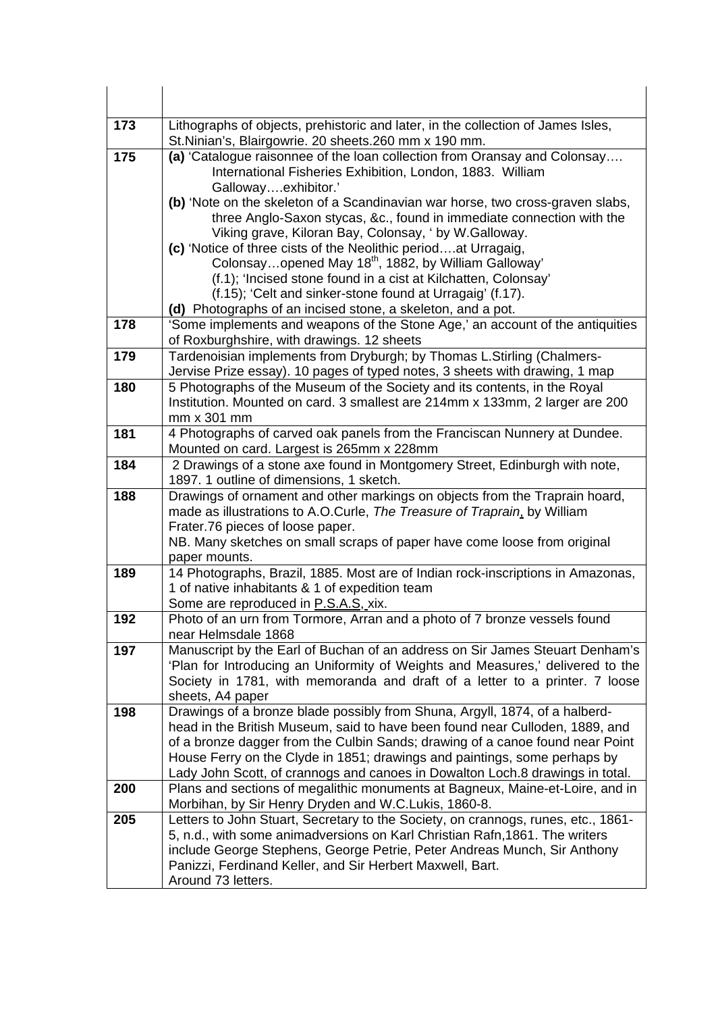| 173 | Lithographs of objects, prehistoric and later, in the collection of James Isles,<br>St. Ninian's, Blairgowrie. 20 sheets. 260 mm x 190 mm.                    |
|-----|---------------------------------------------------------------------------------------------------------------------------------------------------------------|
| 175 | (a) 'Catalogue raisonnee of the loan collection from Oransay and Colonsay<br>International Fisheries Exhibition, London, 1883. William<br>Gallowayexhibitor.' |
|     | (b) 'Note on the skeleton of a Scandinavian war horse, two cross-graven slabs,                                                                                |
|     | three Anglo-Saxon stycas, &c., found in immediate connection with the                                                                                         |
|     | Viking grave, Kiloran Bay, Colonsay, 'by W.Galloway.                                                                                                          |
|     | (c) 'Notice of three cists of the Neolithic periodat Urragaig,                                                                                                |
|     | Colonsayopened May 18 <sup>th</sup> , 1882, by William Galloway'<br>(f.1); 'Incised stone found in a cist at Kilchatten, Colonsay'                            |
|     | (f.15); 'Celt and sinker-stone found at Urragaig' (f.17).                                                                                                     |
|     | (d) Photographs of an incised stone, a skeleton, and a pot.                                                                                                   |
| 178 | 'Some implements and weapons of the Stone Age,' an account of the antiquities                                                                                 |
|     | of Roxburghshire, with drawings. 12 sheets                                                                                                                    |
| 179 | Tardenoisian implements from Dryburgh; by Thomas L.Stirling (Chalmers-                                                                                        |
|     | Jervise Prize essay). 10 pages of typed notes, 3 sheets with drawing, 1 map                                                                                   |
| 180 | 5 Photographs of the Museum of the Society and its contents, in the Royal                                                                                     |
|     | Institution. Mounted on card. 3 smallest are 214mm x 133mm, 2 larger are 200                                                                                  |
|     | mm x 301 mm                                                                                                                                                   |
| 181 | 4 Photographs of carved oak panels from the Franciscan Nunnery at Dundee.<br>Mounted on card. Largest is 265mm x 228mm                                        |
| 184 | 2 Drawings of a stone axe found in Montgomery Street, Edinburgh with note,                                                                                    |
|     | 1897. 1 outline of dimensions, 1 sketch.                                                                                                                      |
| 188 | Drawings of ornament and other markings on objects from the Traprain hoard,                                                                                   |
|     | made as illustrations to A.O.Curle, The Treasure of Traprain, by William                                                                                      |
|     | Frater.76 pieces of loose paper.                                                                                                                              |
|     | NB. Many sketches on small scraps of paper have come loose from original                                                                                      |
|     | paper mounts.                                                                                                                                                 |
| 189 | 14 Photographs, Brazil, 1885. Most are of Indian rock-inscriptions in Amazonas,<br>1 of native inhabitants & 1 of expedition team                             |
|     | Some are reproduced in P.S.A.S, xix.                                                                                                                          |
| 192 | Photo of an urn from Tormore, Arran and a photo of 7 bronze vessels found                                                                                     |
|     | near Helmsdale 1868                                                                                                                                           |
| 197 | Manuscript by the Earl of Buchan of an address on Sir James Steuart Denham's                                                                                  |
|     | 'Plan for Introducing an Uniformity of Weights and Measures,' delivered to the                                                                                |
|     | Society in 1781, with memoranda and draft of a letter to a printer. 7 loose                                                                                   |
|     | sheets, A4 paper                                                                                                                                              |
| 198 | Drawings of a bronze blade possibly from Shuna, Argyll, 1874, of a halberd-                                                                                   |
|     | head in the British Museum, said to have been found near Culloden, 1889, and<br>of a bronze dagger from the Culbin Sands; drawing of a canoe found near Point |
|     | House Ferry on the Clyde in 1851; drawings and paintings, some perhaps by                                                                                     |
|     | Lady John Scott, of crannogs and canoes in Dowalton Loch.8 drawings in total.                                                                                 |
| 200 | Plans and sections of megalithic monuments at Bagneux, Maine-et-Loire, and in                                                                                 |
|     | Morbihan, by Sir Henry Dryden and W.C.Lukis, 1860-8.                                                                                                          |
| 205 | Letters to John Stuart, Secretary to the Society, on crannogs, runes, etc., 1861-                                                                             |
|     | 5, n.d., with some animadversions on Karl Christian Rafn, 1861. The writers                                                                                   |
|     | include George Stephens, George Petrie, Peter Andreas Munch, Sir Anthony                                                                                      |
|     | Panizzi, Ferdinand Keller, and Sir Herbert Maxwell, Bart.                                                                                                     |
|     | Around 73 letters.                                                                                                                                            |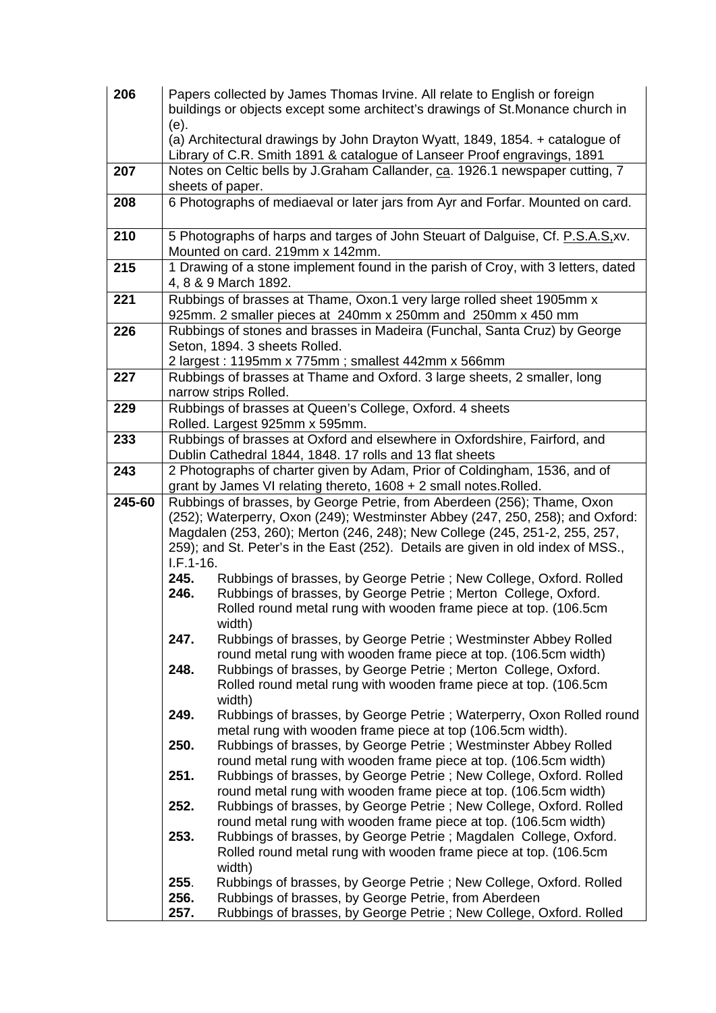| 206    |                     | Papers collected by James Thomas Irvine. All relate to English or foreign                                                             |
|--------|---------------------|---------------------------------------------------------------------------------------------------------------------------------------|
|        |                     | buildings or objects except some architect's drawings of St. Monance church in                                                        |
|        | (e).                | (a) Architectural drawings by John Drayton Wyatt, 1849, 1854. + catalogue of                                                          |
|        |                     | Library of C.R. Smith 1891 & catalogue of Lanseer Proof engravings, 1891                                                              |
| 207    |                     | Notes on Celtic bells by J.Graham Callander, ca. 1926.1 newspaper cutting, 7                                                          |
|        |                     | sheets of paper.                                                                                                                      |
| 208    |                     | 6 Photographs of mediaeval or later jars from Ayr and Forfar. Mounted on card.                                                        |
| 210    |                     | 5 Photographs of harps and targes of John Steuart of Dalguise, Cf. P.S.A.S.xv.<br>Mounted on card. 219mm x 142mm.                     |
| 215    |                     | 1 Drawing of a stone implement found in the parish of Croy, with 3 letters, dated<br>4, 8 & 9 March 1892.                             |
| 221    |                     | Rubbings of brasses at Thame, Oxon.1 very large rolled sheet 1905mm x<br>925mm. 2 smaller pieces at 240mm x 250mm and 250mm x 450 mm  |
| 226    |                     | Rubbings of stones and brasses in Madeira (Funchal, Santa Cruz) by George                                                             |
|        |                     | Seton, 1894. 3 sheets Rolled.                                                                                                         |
|        |                     | 2 largest: 1195mm x 775mm; smallest 442mm x 566mm                                                                                     |
| 227    |                     | Rubbings of brasses at Thame and Oxford. 3 large sheets, 2 smaller, long<br>narrow strips Rolled.                                     |
| 229    |                     | Rubbings of brasses at Queen's College, Oxford. 4 sheets                                                                              |
|        |                     | Rolled. Largest 925mm x 595mm.                                                                                                        |
| 233    |                     | Rubbings of brasses at Oxford and elsewhere in Oxfordshire, Fairford, and<br>Dublin Cathedral 1844, 1848. 17 rolls and 13 flat sheets |
| 243    |                     | 2 Photographs of charter given by Adam, Prior of Coldingham, 1536, and of                                                             |
|        |                     | grant by James VI relating thereto, 1608 + 2 small notes. Rolled.                                                                     |
| 245-60 |                     | Rubbings of brasses, by George Petrie, from Aberdeen (256); Thame, Oxon                                                               |
|        |                     | (252); Waterperry, Oxon (249); Westminster Abbey (247, 250, 258); and Oxford:                                                         |
|        |                     | Magdalen (253, 260); Merton (246, 248); New College (245, 251-2, 255, 257,                                                            |
|        |                     | 259); and St. Peter's in the East (252). Details are given in old index of MSS.,                                                      |
|        | $I.F.1-16.$<br>245. | Rubbings of brasses, by George Petrie; New College, Oxford. Rolled                                                                    |
|        | 246.                | Rubbings of brasses, by George Petrie; Merton College, Oxford.                                                                        |
|        |                     | Rolled round metal rung with wooden frame piece at top. (106.5cm                                                                      |
|        |                     | width)                                                                                                                                |
|        | 247.                | Rubbings of brasses, by George Petrie; Westminster Abbey Rolled                                                                       |
|        |                     | round metal rung with wooden frame piece at top. (106.5cm width)                                                                      |
|        | 248.                | Rubbings of brasses, by George Petrie; Merton College, Oxford.                                                                        |
|        |                     | Rolled round metal rung with wooden frame piece at top. (106.5cm                                                                      |
|        | 249.                | width)<br>Rubbings of brasses, by George Petrie; Waterperry, Oxon Rolled round                                                        |
|        |                     | metal rung with wooden frame piece at top (106.5cm width).                                                                            |
|        | 250.                | Rubbings of brasses, by George Petrie; Westminster Abbey Rolled                                                                       |
|        |                     | round metal rung with wooden frame piece at top. (106.5cm width)                                                                      |
|        | 251.                | Rubbings of brasses, by George Petrie; New College, Oxford. Rolled                                                                    |
|        |                     | round metal rung with wooden frame piece at top. (106.5cm width)                                                                      |
|        | 252.                | Rubbings of brasses, by George Petrie; New College, Oxford. Rolled                                                                    |
|        |                     | round metal rung with wooden frame piece at top. (106.5cm width)                                                                      |
|        | 253.                | Rubbings of brasses, by George Petrie; Magdalen College, Oxford.<br>Rolled round metal rung with wooden frame piece at top. (106.5cm  |
|        |                     | width)                                                                                                                                |
|        | 255.                | Rubbings of brasses, by George Petrie; New College, Oxford. Rolled                                                                    |
|        | 256.                | Rubbings of brasses, by George Petrie, from Aberdeen                                                                                  |
|        | 257.                | Rubbings of brasses, by George Petrie; New College, Oxford. Rolled                                                                    |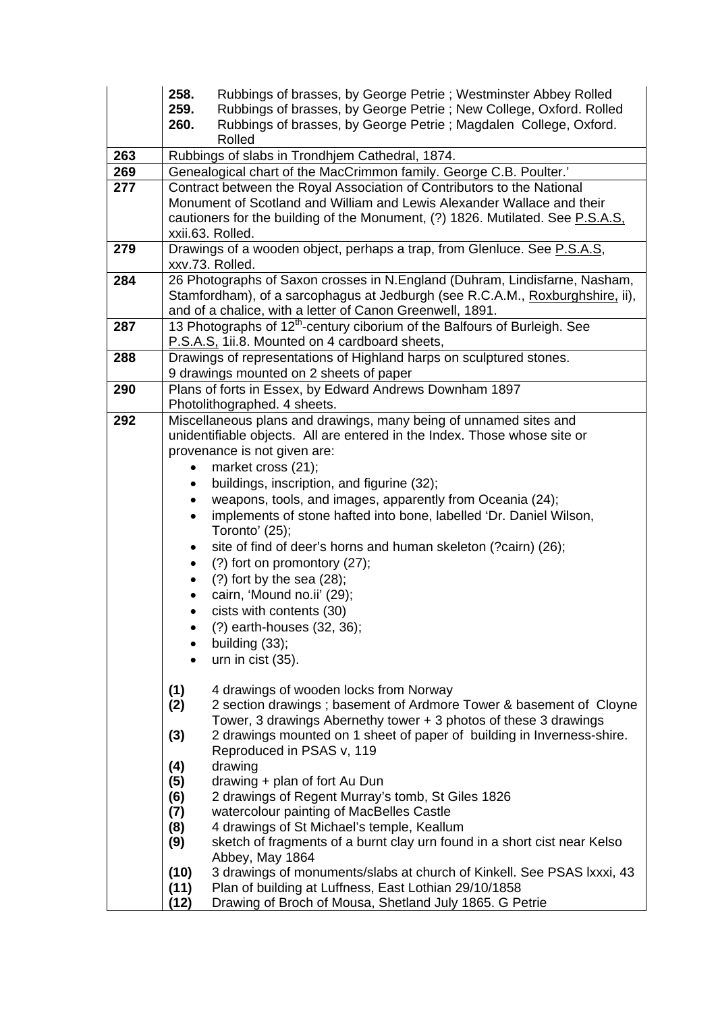|     | 258.<br>259.<br>260.                                                                | Rubbings of brasses, by George Petrie; Westminster Abbey Rolled<br>Rubbings of brasses, by George Petrie ; New College, Oxford. Rolled<br>Rubbings of brasses, by George Petrie; Magdalen College, Oxford.<br>Rolled                                                                                                                                                                                                                                                                                                                                                                                                                                                                                                                                                            |
|-----|-------------------------------------------------------------------------------------|---------------------------------------------------------------------------------------------------------------------------------------------------------------------------------------------------------------------------------------------------------------------------------------------------------------------------------------------------------------------------------------------------------------------------------------------------------------------------------------------------------------------------------------------------------------------------------------------------------------------------------------------------------------------------------------------------------------------------------------------------------------------------------|
| 263 |                                                                                     | Rubbings of slabs in Trondhjem Cathedral, 1874.                                                                                                                                                                                                                                                                                                                                                                                                                                                                                                                                                                                                                                                                                                                                 |
| 269 |                                                                                     | Genealogical chart of the MacCrimmon family. George C.B. Poulter.'                                                                                                                                                                                                                                                                                                                                                                                                                                                                                                                                                                                                                                                                                                              |
| 277 |                                                                                     | Contract between the Royal Association of Contributors to the National<br>Monument of Scotland and William and Lewis Alexander Wallace and their<br>cautioners for the building of the Monument, (?) 1826. Mutilated. See P.S.A.S.<br>xxii.63. Rolled.                                                                                                                                                                                                                                                                                                                                                                                                                                                                                                                          |
| 279 |                                                                                     | Drawings of a wooden object, perhaps a trap, from Glenluce. See P.S.A.S,<br>xxv.73. Rolled.                                                                                                                                                                                                                                                                                                                                                                                                                                                                                                                                                                                                                                                                                     |
| 284 |                                                                                     | 26 Photographs of Saxon crosses in N.England (Duhram, Lindisfarne, Nasham,<br>Stamfordham), of a sarcophagus at Jedburgh (see R.C.A.M., Roxburghshire, ii),<br>and of a chalice, with a letter of Canon Greenwell, 1891.                                                                                                                                                                                                                                                                                                                                                                                                                                                                                                                                                        |
| 287 |                                                                                     | 13 Photographs of 12 <sup>th</sup> -century ciborium of the Balfours of Burleigh. See                                                                                                                                                                                                                                                                                                                                                                                                                                                                                                                                                                                                                                                                                           |
|     |                                                                                     | P.S.A.S. 1ii.8. Mounted on 4 cardboard sheets,                                                                                                                                                                                                                                                                                                                                                                                                                                                                                                                                                                                                                                                                                                                                  |
| 288 |                                                                                     | Drawings of representations of Highland harps on sculptured stones.                                                                                                                                                                                                                                                                                                                                                                                                                                                                                                                                                                                                                                                                                                             |
|     |                                                                                     | 9 drawings mounted on 2 sheets of paper                                                                                                                                                                                                                                                                                                                                                                                                                                                                                                                                                                                                                                                                                                                                         |
| 290 |                                                                                     | Plans of forts in Essex, by Edward Andrews Downham 1897<br>Photolithographed. 4 sheets.                                                                                                                                                                                                                                                                                                                                                                                                                                                                                                                                                                                                                                                                                         |
| 292 | $\bullet$<br>$\bullet$                                                              | Miscellaneous plans and drawings, many being of unnamed sites and<br>unidentifiable objects. All are entered in the Index. Those whose site or<br>provenance is not given are:<br>market cross (21);<br>buildings, inscription, and figurine (32);<br>weapons, tools, and images, apparently from Oceania (24);<br>implements of stone hafted into bone, labelled 'Dr. Daniel Wilson,<br>Toronto' (25);<br>site of find of deer's horns and human skeleton (?cairn) (26);<br>$(?)$ fort on promontory $(27)$ ;<br>$(?)$ fort by the sea $(28)$ ;<br>cairn, 'Mound no.ii' (29);<br>cists with contents (30)<br>(?) earth-houses (32, 36);<br>building (33);<br>urn in cist (35).                                                                                                 |
|     | (1)<br>(2)<br>(3)<br>(4)<br>(5)<br>(6)<br>(7)<br>(8)<br>(9)<br>(10)<br>(11)<br>(12) | 4 drawings of wooden locks from Norway<br>2 section drawings; basement of Ardmore Tower & basement of Cloyne<br>Tower, 3 drawings Abernethy tower + 3 photos of these 3 drawings<br>2 drawings mounted on 1 sheet of paper of building in Inverness-shire.<br>Reproduced in PSAS v, 119<br>drawing<br>drawing + plan of fort Au Dun<br>2 drawings of Regent Murray's tomb, St Giles 1826<br>watercolour painting of MacBelles Castle<br>4 drawings of St Michael's temple, Keallum<br>sketch of fragments of a burnt clay urn found in a short cist near Kelso<br>Abbey, May 1864<br>3 drawings of monuments/slabs at church of Kinkell. See PSAS Ixxxi, 43<br>Plan of building at Luffness, East Lothian 29/10/1858<br>Drawing of Broch of Mousa, Shetland July 1865. G Petrie |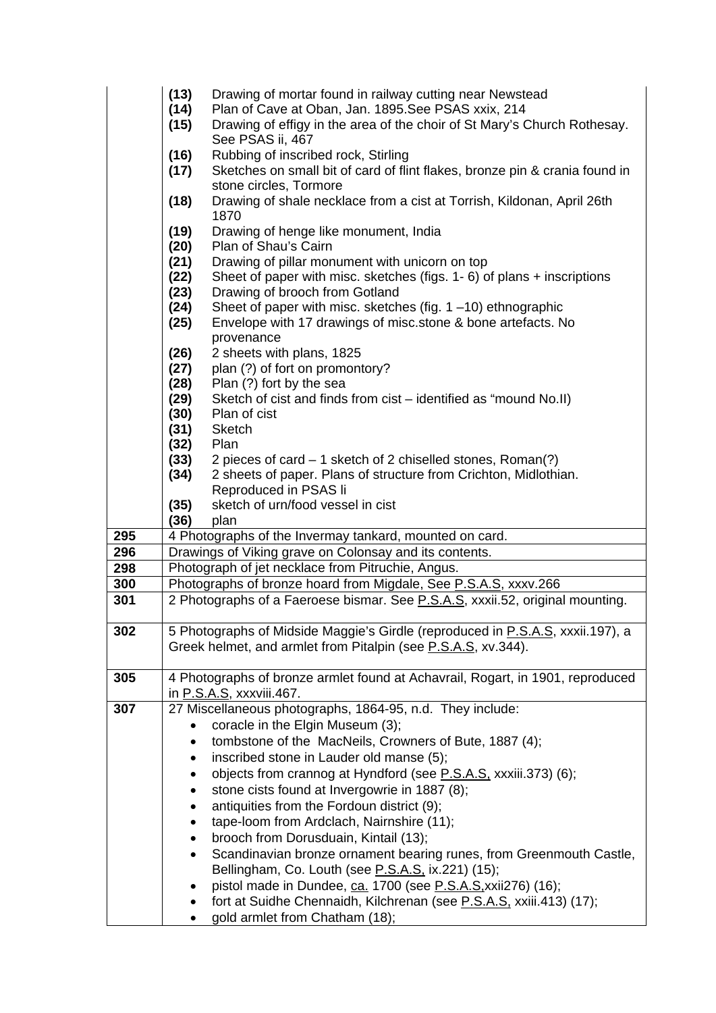|     | (13)<br>(14)<br>(15) | Drawing of mortar found in railway cutting near Newstead<br>Plan of Cave at Oban, Jan. 1895. See PSAS xxix, 214<br>Drawing of effigy in the area of the choir of St Mary's Church Rothesay. |
|-----|----------------------|---------------------------------------------------------------------------------------------------------------------------------------------------------------------------------------------|
|     |                      | See PSAS ii, 467                                                                                                                                                                            |
|     | (16)<br>(17)         | Rubbing of inscribed rock, Stirling<br>Sketches on small bit of card of flint flakes, bronze pin & crania found in                                                                          |
|     |                      | stone circles, Tormore                                                                                                                                                                      |
|     | (18)                 | Drawing of shale necklace from a cist at Torrish, Kildonan, April 26th<br>1870                                                                                                              |
|     | (19)                 | Drawing of henge like monument, India                                                                                                                                                       |
|     | (20)                 | Plan of Shau's Cairn                                                                                                                                                                        |
|     | (21)                 | Drawing of pillar monument with unicorn on top                                                                                                                                              |
|     | (22)<br>(23)         | Sheet of paper with misc. sketches (figs. $1 - 6$ ) of plans $+$ inscriptions<br>Drawing of brooch from Gotland                                                                             |
|     | (24)                 | Sheet of paper with misc. sketches (fig. $1 - 10$ ) ethnographic                                                                                                                            |
|     | (25)                 | Envelope with 17 drawings of misc.stone & bone artefacts. No                                                                                                                                |
|     |                      | provenance                                                                                                                                                                                  |
|     | (26)                 | 2 sheets with plans, 1825                                                                                                                                                                   |
|     | (27)                 | plan (?) of fort on promontory?                                                                                                                                                             |
|     | (28)                 | Plan (?) fort by the sea                                                                                                                                                                    |
|     | (29)                 | Sketch of cist and finds from cist – identified as "mound No.II)                                                                                                                            |
|     | (30)                 | Plan of cist                                                                                                                                                                                |
|     | (31)                 | <b>Sketch</b>                                                                                                                                                                               |
|     | (32)                 | Plan                                                                                                                                                                                        |
|     | (33)<br>(34)         | 2 pieces of card – 1 sketch of 2 chiselled stones, Roman(?)<br>2 sheets of paper. Plans of structure from Crichton, Midlothian.                                                             |
|     |                      | Reproduced in PSAS li                                                                                                                                                                       |
|     | (35)                 | sketch of urn/food vessel in cist                                                                                                                                                           |
| 295 | (36)                 | plan<br>4 Photographs of the Invermay tankard, mounted on card.                                                                                                                             |
| 296 |                      | Drawings of Viking grave on Colonsay and its contents.                                                                                                                                      |
| 298 |                      | Photograph of jet necklace from Pitruchie, Angus.                                                                                                                                           |
| 300 |                      | Photographs of bronze hoard from Migdale, See P.S.A.S, xxxv.266                                                                                                                             |
| 301 |                      | 2 Photographs of a Faeroese bismar. See P.S.A.S, xxxii.52, original mounting.                                                                                                               |
|     |                      |                                                                                                                                                                                             |
| 302 |                      | 5 Photographs of Midside Maggie's Girdle (reproduced in P.S.A.S, xxxii.197), a<br>Greek helmet, and armlet from Pitalpin (see P.S.A.S, xv.344).                                             |
| 305 |                      | 4 Photographs of bronze armlet found at Achavrail, Rogart, in 1901, reproduced                                                                                                              |
|     |                      | in P.S.A.S, xxxviii.467.                                                                                                                                                                    |
| 307 |                      | 27 Miscellaneous photographs, 1864-95, n.d. They include:                                                                                                                                   |
|     |                      | coracle in the Elgin Museum (3);                                                                                                                                                            |
|     | ٠                    | tombstone of the MacNeils, Crowners of Bute, 1887 (4);                                                                                                                                      |
|     | $\bullet$            | inscribed stone in Lauder old manse (5);                                                                                                                                                    |
|     | ٠                    | objects from crannog at Hyndford (see P.S.A.S. xxxiii.373) (6);<br>stone cists found at Invergowrie in 1887 (8);                                                                            |
|     | ٠                    | antiquities from the Fordoun district (9);                                                                                                                                                  |
|     | ٠                    | tape-loom from Ardclach, Nairnshire (11);                                                                                                                                                   |
|     |                      | brooch from Dorusduain, Kintail (13);                                                                                                                                                       |
|     |                      | Scandinavian bronze ornament bearing runes, from Greenmouth Castle,                                                                                                                         |
|     |                      | Bellingham, Co. Louth (see P.S.A.S. ix.221) (15);                                                                                                                                           |
|     |                      | pistol made in Dundee, ca. 1700 (see P.S.A.S. xxii 276) (16);                                                                                                                               |
|     |                      | fort at Suidhe Chennaidh, Kilchrenan (see P.S.A.S. xxiii.413) (17);                                                                                                                         |
|     |                      | gold armlet from Chatham (18);                                                                                                                                                              |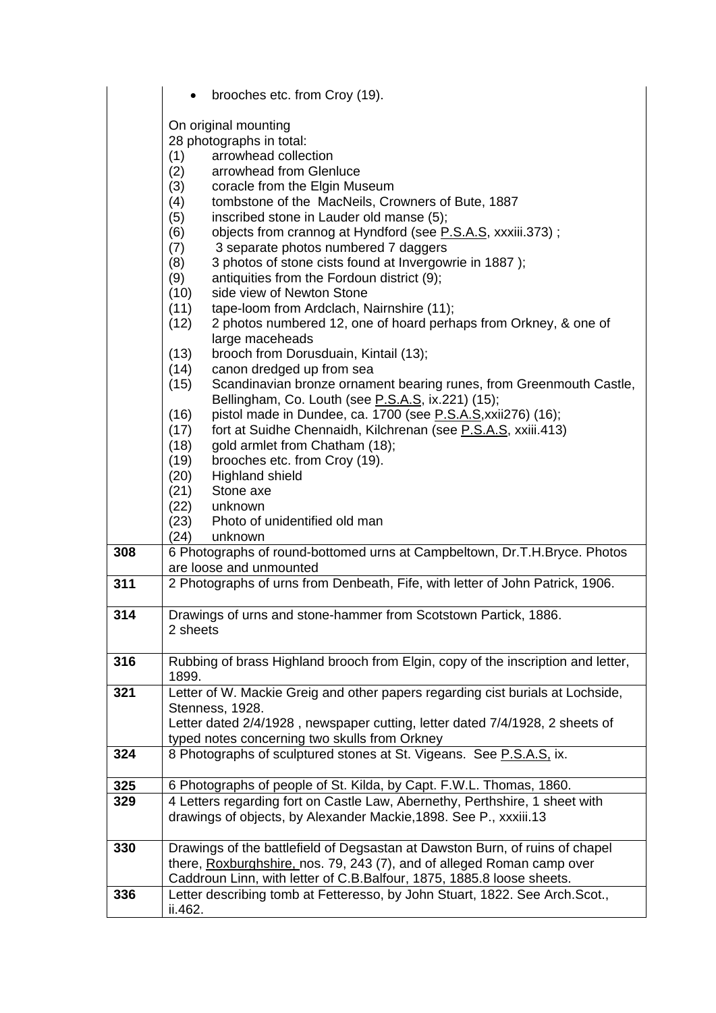|     | brooches etc. from Croy (19).                                                                                                                                                                                                                                                                                                                                                                                                                                                                                                                                                                                                                                                                                                                                                                                                                                                                                                          |
|-----|----------------------------------------------------------------------------------------------------------------------------------------------------------------------------------------------------------------------------------------------------------------------------------------------------------------------------------------------------------------------------------------------------------------------------------------------------------------------------------------------------------------------------------------------------------------------------------------------------------------------------------------------------------------------------------------------------------------------------------------------------------------------------------------------------------------------------------------------------------------------------------------------------------------------------------------|
|     | On original mounting<br>28 photographs in total:<br>(1)<br>arrowhead collection<br>arrowhead from Glenluce<br>(2)<br>coracle from the Elgin Museum<br>(3)<br>tombstone of the MacNeils, Crowners of Bute, 1887<br>(4)<br>inscribed stone in Lauder old manse (5);<br>(5)<br>(6)<br>objects from crannog at Hyndford (see P.S.A.S, xxxiii.373);<br>3 separate photos numbered 7 daggers<br>(7)<br>3 photos of stone cists found at Invergowrie in 1887);<br>(8)<br>antiquities from the Fordoun district (9);<br>(9)<br>side view of Newton Stone<br>(10)<br>tape-loom from Ardclach, Nairnshire (11);<br>(11)<br>2 photos numbered 12, one of hoard perhaps from Orkney, & one of<br>(12)<br>large maceheads<br>(13)<br>brooch from Dorusduain, Kintail (13);<br>canon dredged up from sea<br>(14)<br>(15)<br>Scandinavian bronze ornament bearing runes, from Greenmouth Castle,<br>Bellingham, Co. Louth (see P.S.A.S, ix.221) (15); |
|     | pistol made in Dundee, ca. 1700 (see P.S.A.S, xxii276) (16);<br>(16)<br>fort at Suidhe Chennaidh, Kilchrenan (see P.S.A.S, xxiii.413)<br>(17)                                                                                                                                                                                                                                                                                                                                                                                                                                                                                                                                                                                                                                                                                                                                                                                          |
|     | gold armlet from Chatham (18);<br>(18)<br>brooches etc. from Croy (19).<br>(19)                                                                                                                                                                                                                                                                                                                                                                                                                                                                                                                                                                                                                                                                                                                                                                                                                                                        |
|     | (20)<br><b>Highland shield</b><br>Stone axe<br>(21)                                                                                                                                                                                                                                                                                                                                                                                                                                                                                                                                                                                                                                                                                                                                                                                                                                                                                    |
|     | (22)<br>unknown<br>Photo of unidentified old man<br>(23)<br>(24)<br>unknown                                                                                                                                                                                                                                                                                                                                                                                                                                                                                                                                                                                                                                                                                                                                                                                                                                                            |
| 308 | 6 Photographs of round-bottomed urns at Campbeltown, Dr.T.H.Bryce. Photos                                                                                                                                                                                                                                                                                                                                                                                                                                                                                                                                                                                                                                                                                                                                                                                                                                                              |
| 311 | are loose and unmounted<br>2 Photographs of urns from Denbeath, Fife, with letter of John Patrick, 1906.                                                                                                                                                                                                                                                                                                                                                                                                                                                                                                                                                                                                                                                                                                                                                                                                                               |
|     |                                                                                                                                                                                                                                                                                                                                                                                                                                                                                                                                                                                                                                                                                                                                                                                                                                                                                                                                        |
| 314 | Drawings of urns and stone-hammer from Scotstown Partick, 1886.<br>2 sheets                                                                                                                                                                                                                                                                                                                                                                                                                                                                                                                                                                                                                                                                                                                                                                                                                                                            |
| 316 | Rubbing of brass Highland brooch from Elgin, copy of the inscription and letter,<br>1899.                                                                                                                                                                                                                                                                                                                                                                                                                                                                                                                                                                                                                                                                                                                                                                                                                                              |
| 321 | Letter of W. Mackie Greig and other papers regarding cist burials at Lochside,<br>Stenness, 1928.                                                                                                                                                                                                                                                                                                                                                                                                                                                                                                                                                                                                                                                                                                                                                                                                                                      |
|     | Letter dated 2/4/1928, newspaper cutting, letter dated 7/4/1928, 2 sheets of<br>typed notes concerning two skulls from Orkney                                                                                                                                                                                                                                                                                                                                                                                                                                                                                                                                                                                                                                                                                                                                                                                                          |
| 324 | 8 Photographs of sculptured stones at St. Vigeans. See P.S.A.S, ix.                                                                                                                                                                                                                                                                                                                                                                                                                                                                                                                                                                                                                                                                                                                                                                                                                                                                    |
| 325 | 6 Photographs of people of St. Kilda, by Capt. F.W.L. Thomas, 1860.                                                                                                                                                                                                                                                                                                                                                                                                                                                                                                                                                                                                                                                                                                                                                                                                                                                                    |
| 329 | 4 Letters regarding fort on Castle Law, Abernethy, Perthshire, 1 sheet with                                                                                                                                                                                                                                                                                                                                                                                                                                                                                                                                                                                                                                                                                                                                                                                                                                                            |
|     | drawings of objects, by Alexander Mackie, 1898. See P., xxxiii. 13                                                                                                                                                                                                                                                                                                                                                                                                                                                                                                                                                                                                                                                                                                                                                                                                                                                                     |
| 330 | Drawings of the battlefield of Degsastan at Dawston Burn, of ruins of chapel                                                                                                                                                                                                                                                                                                                                                                                                                                                                                                                                                                                                                                                                                                                                                                                                                                                           |
|     | there, Roxburghshire, nos. 79, 243 (7), and of alleged Roman camp over<br>Caddroun Linn, with letter of C.B.Balfour, 1875, 1885.8 loose sheets.                                                                                                                                                                                                                                                                                                                                                                                                                                                                                                                                                                                                                                                                                                                                                                                        |
| 336 | Letter describing tomb at Fetteresso, by John Stuart, 1822. See Arch. Scot.,                                                                                                                                                                                                                                                                                                                                                                                                                                                                                                                                                                                                                                                                                                                                                                                                                                                           |
|     | ii.462.                                                                                                                                                                                                                                                                                                                                                                                                                                                                                                                                                                                                                                                                                                                                                                                                                                                                                                                                |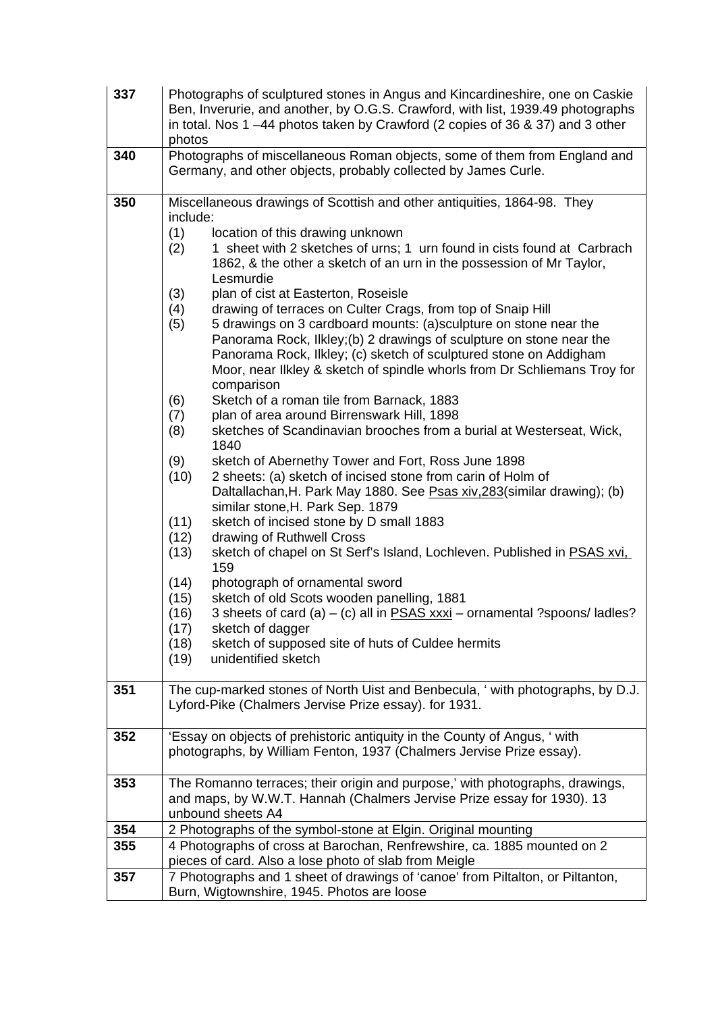| 337 | Photographs of sculptured stones in Angus and Kincardineshire, one on Caskie<br>Ben, Inverurie, and another, by O.G.S. Crawford, with list, 1939.49 photographs<br>in total. Nos 1-44 photos taken by Crawford (2 copies of 36 & 37) and 3 other<br>photos                                                                                                                                                                                                                                                                                                                                                                                                                                                                                                                                                                                                                                                                                                                                                                                                                                                                                                                                                                                                                                                                                                                                                                                                                                                                                                                                                                                                                                           |  |  |
|-----|------------------------------------------------------------------------------------------------------------------------------------------------------------------------------------------------------------------------------------------------------------------------------------------------------------------------------------------------------------------------------------------------------------------------------------------------------------------------------------------------------------------------------------------------------------------------------------------------------------------------------------------------------------------------------------------------------------------------------------------------------------------------------------------------------------------------------------------------------------------------------------------------------------------------------------------------------------------------------------------------------------------------------------------------------------------------------------------------------------------------------------------------------------------------------------------------------------------------------------------------------------------------------------------------------------------------------------------------------------------------------------------------------------------------------------------------------------------------------------------------------------------------------------------------------------------------------------------------------------------------------------------------------------------------------------------------------|--|--|
| 340 | Photographs of miscellaneous Roman objects, some of them from England and<br>Germany, and other objects, probably collected by James Curle.                                                                                                                                                                                                                                                                                                                                                                                                                                                                                                                                                                                                                                                                                                                                                                                                                                                                                                                                                                                                                                                                                                                                                                                                                                                                                                                                                                                                                                                                                                                                                          |  |  |
| 350 | Miscellaneous drawings of Scottish and other antiquities, 1864-98. They<br>include:<br>(1)<br>location of this drawing unknown<br>1 sheet with 2 sketches of urns; 1 urn found in cists found at Carbrach<br>(2)<br>1862, & the other a sketch of an urn in the possession of Mr Taylor,<br>Lesmurdie<br>(3)<br>plan of cist at Easterton, Roseisle<br>drawing of terraces on Culter Crags, from top of Snaip Hill<br>(4)<br>5 drawings on 3 cardboard mounts: (a)sculpture on stone near the<br>(5)<br>Panorama Rock, Ilkley;(b) 2 drawings of sculpture on stone near the<br>Panorama Rock, Ilkley; (c) sketch of sculptured stone on Addigham<br>Moor, near Ilkley & sketch of spindle whorls from Dr Schliemans Troy for<br>comparison<br>(6)<br>Sketch of a roman tile from Barnack, 1883<br>plan of area around Birrenswark Hill, 1898<br>(7)<br>sketches of Scandinavian brooches from a burial at Westerseat, Wick,<br>(8)<br>1840<br>(9)<br>sketch of Abernethy Tower and Fort, Ross June 1898<br>2 sheets: (a) sketch of incised stone from carin of Holm of<br>(10)<br>Daltallachan, H. Park May 1880. See Psas xiv, 283 (similar drawing); (b)<br>similar stone, H. Park Sep. 1879<br>(11)<br>sketch of incised stone by D small 1883<br>drawing of Ruthwell Cross<br>(12)<br>(13)<br>sketch of chapel on St Serf's Island, Lochleven. Published in PSAS xvi,<br>159<br>(14)<br>photograph of ornamental sword<br>sketch of old Scots wooden panelling, 1881<br>(15)<br>3 sheets of card (a) - (c) all in <b>PSAS xxxi</b> - ornamental ?spoons/ ladles?<br>(16)<br>(17)<br>sketch of dagger<br>(18)<br>sketch of supposed site of huts of Culdee hermits<br>(19)<br>unidentified sketch |  |  |
| 351 | The cup-marked stones of North Uist and Benbecula, ' with photographs, by D.J.<br>Lyford-Pike (Chalmers Jervise Prize essay). for 1931.                                                                                                                                                                                                                                                                                                                                                                                                                                                                                                                                                                                                                                                                                                                                                                                                                                                                                                                                                                                                                                                                                                                                                                                                                                                                                                                                                                                                                                                                                                                                                              |  |  |
| 352 | 'Essay on objects of prehistoric antiquity in the County of Angus, ' with<br>photographs, by William Fenton, 1937 (Chalmers Jervise Prize essay).                                                                                                                                                                                                                                                                                                                                                                                                                                                                                                                                                                                                                                                                                                                                                                                                                                                                                                                                                                                                                                                                                                                                                                                                                                                                                                                                                                                                                                                                                                                                                    |  |  |
| 353 | The Romanno terraces; their origin and purpose,' with photographs, drawings,<br>and maps, by W.W.T. Hannah (Chalmers Jervise Prize essay for 1930). 13<br>unbound sheets A4                                                                                                                                                                                                                                                                                                                                                                                                                                                                                                                                                                                                                                                                                                                                                                                                                                                                                                                                                                                                                                                                                                                                                                                                                                                                                                                                                                                                                                                                                                                          |  |  |
| 354 | 2 Photographs of the symbol-stone at Elgin. Original mounting                                                                                                                                                                                                                                                                                                                                                                                                                                                                                                                                                                                                                                                                                                                                                                                                                                                                                                                                                                                                                                                                                                                                                                                                                                                                                                                                                                                                                                                                                                                                                                                                                                        |  |  |
| 355 | 4 Photographs of cross at Barochan, Renfrewshire, ca. 1885 mounted on 2<br>pieces of card. Also a lose photo of slab from Meigle                                                                                                                                                                                                                                                                                                                                                                                                                                                                                                                                                                                                                                                                                                                                                                                                                                                                                                                                                                                                                                                                                                                                                                                                                                                                                                                                                                                                                                                                                                                                                                     |  |  |
| 357 | 7 Photographs and 1 sheet of drawings of 'canoe' from Piltalton, or Piltanton,<br>Burn, Wigtownshire, 1945. Photos are loose                                                                                                                                                                                                                                                                                                                                                                                                                                                                                                                                                                                                                                                                                                                                                                                                                                                                                                                                                                                                                                                                                                                                                                                                                                                                                                                                                                                                                                                                                                                                                                         |  |  |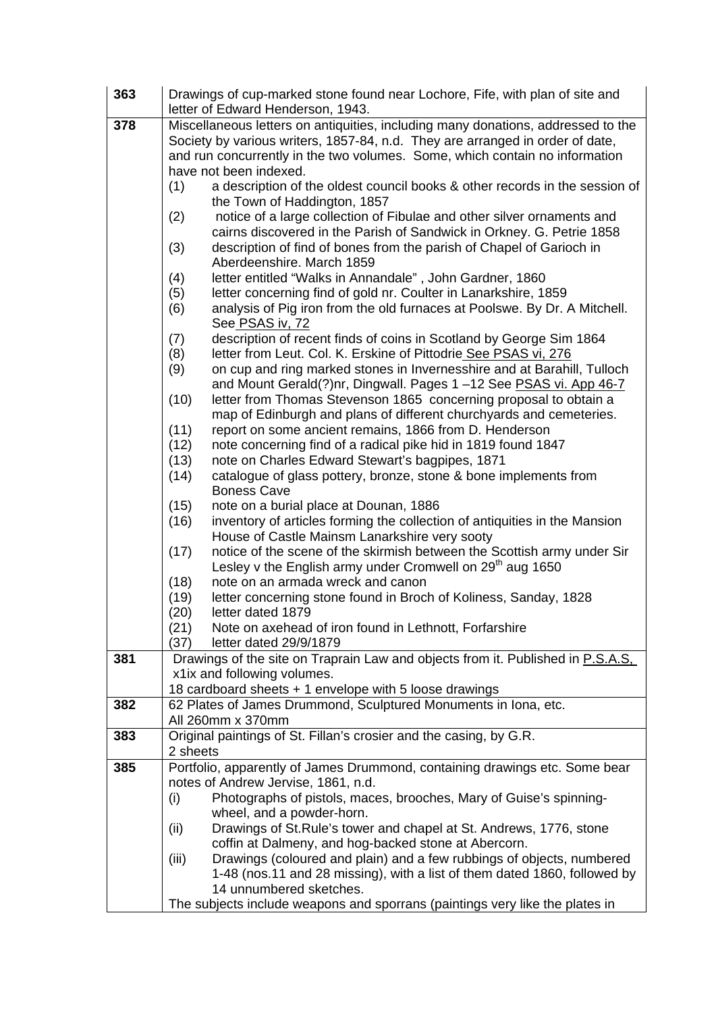| 363 | Drawings of cup-marked stone found near Lochore, Fife, with plan of site and<br>letter of Edward Henderson, 1943.                                |  |  |
|-----|--------------------------------------------------------------------------------------------------------------------------------------------------|--|--|
| 378 | Miscellaneous letters on antiquities, including many donations, addressed to the                                                                 |  |  |
|     | Society by various writers, 1857-84, n.d. They are arranged in order of date,                                                                    |  |  |
|     | and run concurrently in the two volumes. Some, which contain no information                                                                      |  |  |
|     | have not been indexed.                                                                                                                           |  |  |
|     | a description of the oldest council books & other records in the session of<br>(1)                                                               |  |  |
|     | the Town of Haddington, 1857                                                                                                                     |  |  |
|     | (2)<br>notice of a large collection of Fibulae and other silver ornaments and                                                                    |  |  |
|     | cairns discovered in the Parish of Sandwick in Orkney. G. Petrie 1858                                                                            |  |  |
|     | (3)<br>description of find of bones from the parish of Chapel of Garioch in<br>Aberdeenshire. March 1859                                         |  |  |
|     | (4)<br>letter entitled "Walks in Annandale", John Gardner, 1860                                                                                  |  |  |
|     | letter concerning find of gold nr. Coulter in Lanarkshire, 1859<br>(5)                                                                           |  |  |
|     | analysis of Pig iron from the old furnaces at Poolswe. By Dr. A Mitchell.<br>(6)                                                                 |  |  |
|     | See PSAS iv, 72                                                                                                                                  |  |  |
|     | description of recent finds of coins in Scotland by George Sim 1864<br>(7)                                                                       |  |  |
|     | (8)<br>letter from Leut. Col. K. Erskine of Pittodrie See PSAS vi, 276                                                                           |  |  |
|     | on cup and ring marked stones in Invernesshire and at Barahill, Tulloch<br>(9)                                                                   |  |  |
|     | and Mount Gerald(?)nr, Dingwall. Pages 1-12 See PSAS vi. App 46-7                                                                                |  |  |
|     | (10)<br>letter from Thomas Stevenson 1865 concerning proposal to obtain a<br>map of Edinburgh and plans of different churchyards and cemeteries. |  |  |
|     | (11)<br>report on some ancient remains, 1866 from D. Henderson                                                                                   |  |  |
|     | (12)<br>note concerning find of a radical pike hid in 1819 found 1847                                                                            |  |  |
|     | (13)<br>note on Charles Edward Stewart's bagpipes, 1871                                                                                          |  |  |
|     | (14)<br>catalogue of glass pottery, bronze, stone & bone implements from                                                                         |  |  |
|     | <b>Boness Cave</b>                                                                                                                               |  |  |
|     | (15)<br>note on a burial place at Dounan, 1886                                                                                                   |  |  |
|     | inventory of articles forming the collection of antiquities in the Mansion<br>(16)                                                               |  |  |
|     | House of Castle Mainsm Lanarkshire very sooty<br>notice of the scene of the skirmish between the Scottish army under Sir<br>(17)                 |  |  |
|     | Lesley v the English army under Cromwell on 29 <sup>th</sup> aug 1650                                                                            |  |  |
|     | (18)<br>note on an armada wreck and canon                                                                                                        |  |  |
|     | (19)<br>letter concerning stone found in Broch of Koliness, Sanday, 1828                                                                         |  |  |
|     | (20)<br>letter dated 1879                                                                                                                        |  |  |
|     | (21)<br>Note on axehead of iron found in Lethnott, Forfarshire                                                                                   |  |  |
|     | (37)<br>letter dated 29/9/1879                                                                                                                   |  |  |
| 381 | Drawings of the site on Traprain Law and objects from it. Published in P.S.A.S.                                                                  |  |  |
|     | x1ix and following volumes.                                                                                                                      |  |  |
|     | 18 cardboard sheets + 1 envelope with 5 loose drawings<br>62 Plates of James Drummond, Sculptured Monuments in Iona, etc.                        |  |  |
| 382 | All 260mm x 370mm                                                                                                                                |  |  |
| 383 | Original paintings of St. Fillan's crosier and the casing, by G.R.                                                                               |  |  |
|     | 2 sheets                                                                                                                                         |  |  |
| 385 | Portfolio, apparently of James Drummond, containing drawings etc. Some bear                                                                      |  |  |
|     | notes of Andrew Jervise, 1861, n.d.                                                                                                              |  |  |
|     | Photographs of pistols, maces, brooches, Mary of Guise's spinning-<br>(i)                                                                        |  |  |
|     | wheel, and a powder-horn.                                                                                                                        |  |  |
|     | Drawings of St. Rule's tower and chapel at St. Andrews, 1776, stone<br>(ii)                                                                      |  |  |
|     | coffin at Dalmeny, and hog-backed stone at Abercorn.<br>Drawings (coloured and plain) and a few rubbings of objects, numbered<br>(iii)           |  |  |
|     | 1-48 (nos.11 and 28 missing), with a list of them dated 1860, followed by                                                                        |  |  |
|     | 14 unnumbered sketches.                                                                                                                          |  |  |
|     | The subjects include weapons and sporrans (paintings very like the plates in                                                                     |  |  |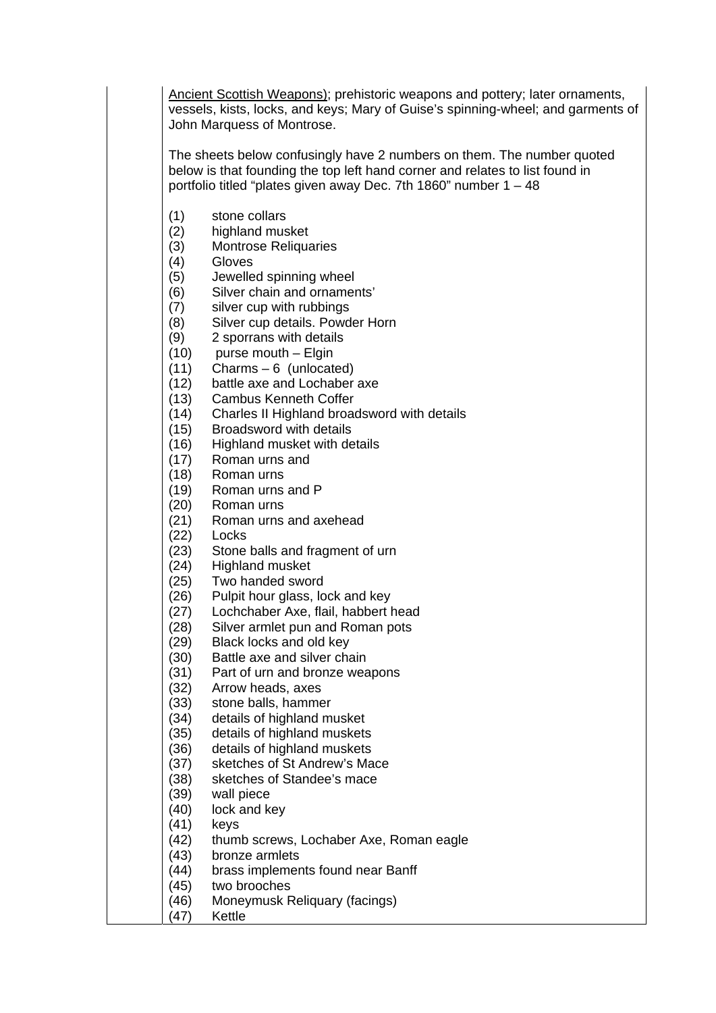Ancient Scottish Weapons); prehistoric weapons and pottery; later ornaments, vessels, kists, locks, and keys; Mary of Guise's spinning-wheel; and garments of John Marquess of Montrose.

The sheets below confusingly have 2 numbers on them. The number quoted below is that founding the top left hand corner and relates to list found in portfolio titled "plates given away Dec. 7th 1860" number 1 – 48

- (1) stone collars
- (2) highland musket
- Montrose Religuaries
- (4) Gloves
- (5) Jewelled spinning wheel
- (6) Silver chain and ornaments'
- (7) silver cup with rubbings
- (8) Silver cup details. Powder Horn
- (9) 2 sporrans with details
- (10) purse mouth Elgin
- (11) Charms 6 (unlocated)
- (12) battle axe and Lochaber axe
- (13) Cambus Kenneth Coffer
- (14) Charles II Highland broadsword with details
- (15) Broadsword with details
- (16) Highland musket with details
- (17) Roman urns and
- (18) Roman urns
- (19) Roman urns and P
- (20) Roman urns
- (21) Roman urns and axehead
- (22) Locks
- (23) Stone balls and fragment of urn
- (24) Highland musket
- (25) Two handed sword
- (26) Pulpit hour glass, lock and key
- (27) Lochchaber Axe, flail, habbert head
- (28) Silver armlet pun and Roman pots
- (29) Black locks and old key
- (30) Battle axe and silver chain
- (31) Part of urn and bronze weapons
- (32) Arrow heads, axes
- (33) stone balls, hammer
- (34) details of highland musket
- (35) details of highland muskets
- (36) details of highland muskets
- (37) sketches of St Andrew's Mace
- (38) sketches of Standee's mace
- (39) wall piece
- (40) lock and key
- (41) keys
- (42) thumb screws, Lochaber Axe, Roman eagle
- (43) bronze armlets
- (44) brass implements found near Banff
- (45) two brooches
- (46) Moneymusk Reliquary (facings)
- (47) Kettle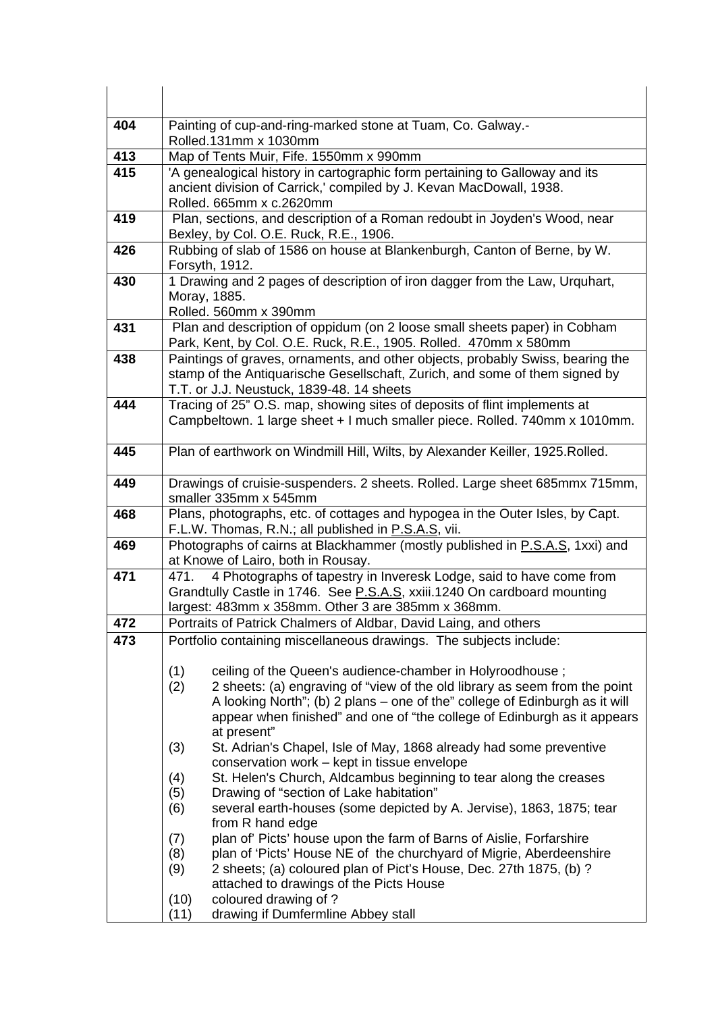| 404              | Painting of cup-and-ring-marked stone at Tuam, Co. Galway.-<br>Rolled.131mm x 1030mm                                                                                                                                                                                                                                            |
|------------------|---------------------------------------------------------------------------------------------------------------------------------------------------------------------------------------------------------------------------------------------------------------------------------------------------------------------------------|
| 413              | Map of Tents Muir, Fife. 1550mm x 990mm                                                                                                                                                                                                                                                                                         |
| 415              | 'A genealogical history in cartographic form pertaining to Galloway and its<br>ancient division of Carrick,' compiled by J. Kevan MacDowall, 1938.                                                                                                                                                                              |
|                  | Rolled. 665mm x c.2620mm                                                                                                                                                                                                                                                                                                        |
| 419              | Plan, sections, and description of a Roman redoubt in Joyden's Wood, near<br>Bexley, by Col. O.E. Ruck, R.E., 1906.                                                                                                                                                                                                             |
| 426              | Rubbing of slab of 1586 on house at Blankenburgh, Canton of Berne, by W.<br>Forsyth, 1912.                                                                                                                                                                                                                                      |
| 430              | 1 Drawing and 2 pages of description of iron dagger from the Law, Urquhart,<br>Moray, 1885.<br>Rolled. 560mm x 390mm                                                                                                                                                                                                            |
| 431              | Plan and description of oppidum (on 2 loose small sheets paper) in Cobham<br>Park, Kent, by Col. O.E. Ruck, R.E., 1905. Rolled. 470mm x 580mm                                                                                                                                                                                   |
| 438              | Paintings of graves, ornaments, and other objects, probably Swiss, bearing the<br>stamp of the Antiquarische Gesellschaft, Zurich, and some of them signed by<br>T.T. or J.J. Neustuck, 1839-48. 14 sheets                                                                                                                      |
| 444              | Tracing of 25" O.S. map, showing sites of deposits of flint implements at<br>Campbeltown. 1 large sheet + I much smaller piece. Rolled. 740mm x 1010mm.                                                                                                                                                                         |
| 445              | Plan of earthwork on Windmill Hill, Wilts, by Alexander Keiller, 1925. Rolled.                                                                                                                                                                                                                                                  |
| 449              | Drawings of cruisie-suspenders. 2 sheets. Rolled. Large sheet 685mmx 715mm,<br>smaller 335mm x 545mm                                                                                                                                                                                                                            |
| 468              | Plans, photographs, etc. of cottages and hypogea in the Outer Isles, by Capt.<br>F.L.W. Thomas, R.N.; all published in P.S.A.S, vii.                                                                                                                                                                                            |
| 469              | Photographs of cairns at Blackhammer (mostly published in P.S.A.S, 1xxi) and<br>at Knowe of Lairo, both in Rousay.                                                                                                                                                                                                              |
| $\overline{471}$ | 4 Photographs of tapestry in Inveresk Lodge, said to have come from<br>471.<br>Grandtully Castle in 1746. See P.S.A.S, xxiii.1240 On cardboard mounting<br>largest: 483mm x 358mm. Other 3 are 385mm x 368mm.                                                                                                                   |
| 472              | Portraits of Patrick Chalmers of Aldbar, David Laing, and others                                                                                                                                                                                                                                                                |
| 473              | Portfolio containing miscellaneous drawings. The subjects include:                                                                                                                                                                                                                                                              |
|                  | (1)<br>ceiling of the Queen's audience-chamber in Holyroodhouse;<br>(2)<br>2 sheets: (a) engraving of "view of the old library as seem from the point<br>A looking North"; (b) 2 plans – one of the" college of Edinburgh as it will<br>appear when finished" and one of "the college of Edinburgh as it appears<br>at present" |
|                  | St. Adrian's Chapel, Isle of May, 1868 already had some preventive<br>(3)<br>conservation work - kept in tissue envelope                                                                                                                                                                                                        |
|                  | St. Helen's Church, Aldcambus beginning to tear along the creases<br>(4)<br>Drawing of "section of Lake habitation"<br>(5)<br>(6)<br>several earth-houses (some depicted by A. Jervise), 1863, 1875; tear                                                                                                                       |
|                  | from R hand edge<br>plan of' Picts' house upon the farm of Barns of Aislie, Forfarshire<br>(7)                                                                                                                                                                                                                                  |
|                  | plan of 'Picts' House NE of the churchyard of Migrie, Aberdeenshire<br>(8)                                                                                                                                                                                                                                                      |
|                  | 2 sheets; (a) coloured plan of Pict's House, Dec. 27th 1875, (b) ?<br>(9)<br>attached to drawings of the Picts House                                                                                                                                                                                                            |
|                  | coloured drawing of ?<br>(10)                                                                                                                                                                                                                                                                                                   |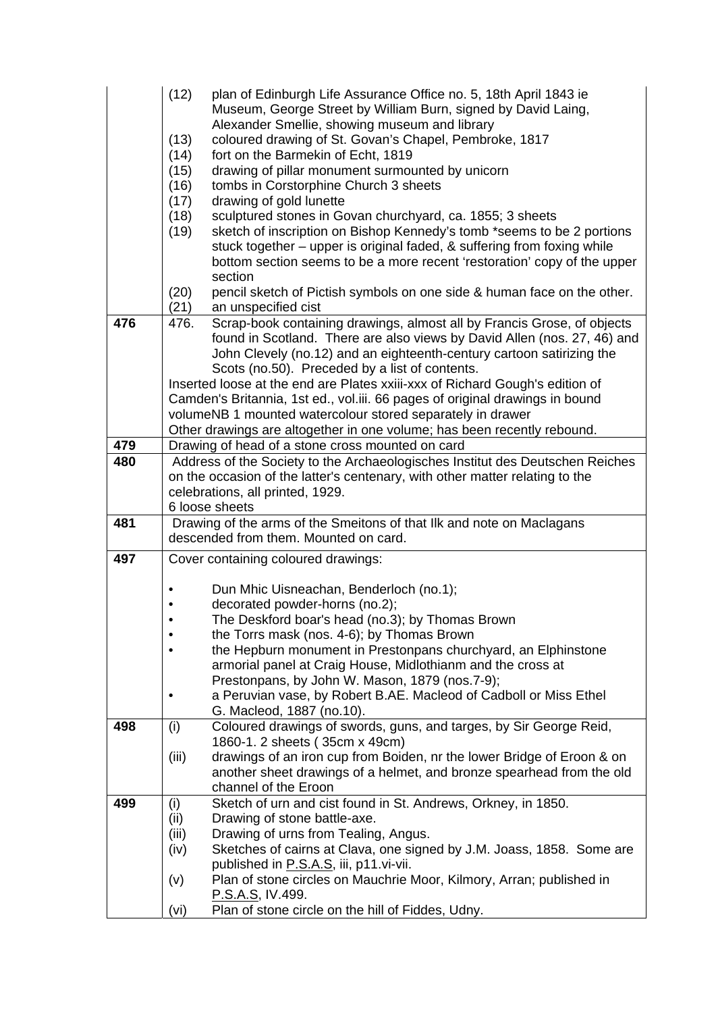|     | (12)      | plan of Edinburgh Life Assurance Office no. 5, 18th April 1843 ie                                                       |
|-----|-----------|-------------------------------------------------------------------------------------------------------------------------|
|     |           | Museum, George Street by William Burn, signed by David Laing,                                                           |
|     |           | Alexander Smellie, showing museum and library                                                                           |
|     | (13)      | coloured drawing of St. Govan's Chapel, Pembroke, 1817                                                                  |
|     | (14)      | fort on the Barmekin of Echt, 1819                                                                                      |
|     | (15)      | drawing of pillar monument surmounted by unicorn                                                                        |
|     | (16)      | tombs in Corstorphine Church 3 sheets                                                                                   |
|     | (17)      | drawing of gold lunette                                                                                                 |
|     | (18)      | sculptured stones in Govan churchyard, ca. 1855; 3 sheets                                                               |
|     | (19)      | sketch of inscription on Bishop Kennedy's tomb *seems to be 2 portions                                                  |
|     |           | stuck together - upper is original faded, & suffering from foxing while                                                 |
|     |           | bottom section seems to be a more recent 'restoration' copy of the upper                                                |
|     |           | section                                                                                                                 |
|     | (20)      | pencil sketch of Pictish symbols on one side & human face on the other.                                                 |
|     | (21)      | an unspecified cist                                                                                                     |
| 476 | 476.      | Scrap-book containing drawings, almost all by Francis Grose, of objects                                                 |
|     |           | found in Scotland. There are also views by David Allen (nos. 27, 46) and                                                |
|     |           | John Clevely (no.12) and an eighteenth-century cartoon satirizing the<br>Scots (no.50). Preceded by a list of contents. |
|     |           | Inserted loose at the end are Plates xxiii-xxx of Richard Gough's edition of                                            |
|     |           | Camden's Britannia, 1st ed., vol.iii. 66 pages of original drawings in bound                                            |
|     |           | volumeNB 1 mounted watercolour stored separately in drawer                                                              |
|     |           | Other drawings are altogether in one volume; has been recently rebound.                                                 |
| 479 |           | Drawing of head of a stone cross mounted on card                                                                        |
| 480 |           | Address of the Society to the Archaeologisches Institut des Deutschen Reiches                                           |
|     |           | on the occasion of the latter's centenary, with other matter relating to the                                            |
|     |           | celebrations, all printed, 1929.                                                                                        |
|     |           | 6 loose sheets                                                                                                          |
| 481 |           | Drawing of the arms of the Smeitons of that IIk and note on Maclagans                                                   |
|     |           | descended from them. Mounted on card.                                                                                   |
| 497 |           | Cover containing coloured drawings:                                                                                     |
|     |           |                                                                                                                         |
|     |           |                                                                                                                         |
|     |           | Dun Mhic Uisneachan, Benderloch (no.1);                                                                                 |
|     |           | decorated powder-horns (no.2);                                                                                          |
|     |           |                                                                                                                         |
|     |           | The Deskford boar's head (no.3); by Thomas Brown<br>the Torrs mask (nos. 4-6); by Thomas Brown                          |
|     |           | the Hepburn monument in Prestonpans churchyard, an Elphinstone                                                          |
|     |           | armorial panel at Craig House, Midlothianm and the cross at                                                             |
|     |           | Prestonpans, by John W. Mason, 1879 (nos.7-9);                                                                          |
|     | $\bullet$ | a Peruvian vase, by Robert B.AE. Macleod of Cadboll or Miss Ethel                                                       |
|     |           | G. Macleod, 1887 (no.10).                                                                                               |
| 498 | (i)       | Coloured drawings of swords, guns, and targes, by Sir George Reid,                                                      |
|     |           | 1860-1. 2 sheets (35cm x 49cm)                                                                                          |
|     | (iii)     | drawings of an iron cup from Boiden, nr the lower Bridge of Eroon & on                                                  |
|     |           | another sheet drawings of a helmet, and bronze spearhead from the old                                                   |
|     |           | channel of the Eroon                                                                                                    |
| 499 | (i)       | Sketch of urn and cist found in St. Andrews, Orkney, in 1850.                                                           |
|     | (ii)      | Drawing of stone battle-axe.                                                                                            |
|     | (iii)     | Drawing of urns from Tealing, Angus.                                                                                    |
|     | (iv)      | Sketches of cairns at Clava, one signed by J.M. Joass, 1858. Some are                                                   |
|     |           | published in P.S.A.S, iii, p11.vi-vii.                                                                                  |
|     | (v)       | Plan of stone circles on Mauchrie Moor, Kilmory, Arran; published in<br><u>P.S.A.S</u> , IV.499.                        |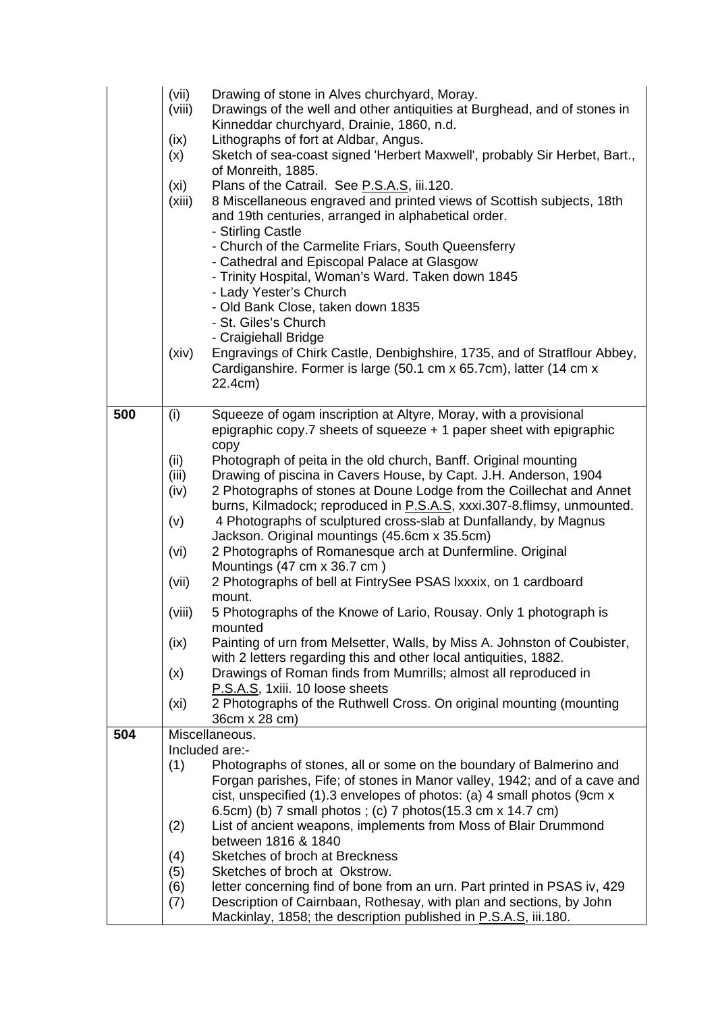|     | (vii)<br>(viii)<br>(ix)<br>(x)<br>(xi)<br>(xiii)<br>(xiv) | Drawing of stone in Alves churchyard, Moray.<br>Drawings of the well and other antiquities at Burghead, and of stones in<br>Kinneddar churchyard, Drainie, 1860, n.d.<br>Lithographs of fort at Aldbar, Angus.<br>Sketch of sea-coast signed 'Herbert Maxwell', probably Sir Herbet, Bart.,<br>of Monreith, 1885.<br>Plans of the Catrail. See P.S.A.S, iii.120.<br>8 Miscellaneous engraved and printed views of Scottish subjects, 18th<br>and 19th centuries, arranged in alphabetical order.<br>- Stirling Castle<br>- Church of the Carmelite Friars, South Queensferry<br>- Cathedral and Episcopal Palace at Glasgow<br>- Trinity Hospital, Woman's Ward. Taken down 1845<br>- Lady Yester's Church<br>- Old Bank Close, taken down 1835<br>- St. Giles's Church<br>- Craigiehall Bridge<br>Engravings of Chirk Castle, Denbighshire, 1735, and of Stratflour Abbey, |
|-----|-----------------------------------------------------------|-----------------------------------------------------------------------------------------------------------------------------------------------------------------------------------------------------------------------------------------------------------------------------------------------------------------------------------------------------------------------------------------------------------------------------------------------------------------------------------------------------------------------------------------------------------------------------------------------------------------------------------------------------------------------------------------------------------------------------------------------------------------------------------------------------------------------------------------------------------------------------|
|     |                                                           | Cardiganshire. Former is large (50.1 cm x 65.7cm), latter (14 cm x<br>22.4cm)                                                                                                                                                                                                                                                                                                                                                                                                                                                                                                                                                                                                                                                                                                                                                                                               |
| 500 | (i)                                                       | Squeeze of ogam inscription at Altyre, Moray, with a provisional<br>epigraphic copy.7 sheets of squeeze $+1$ paper sheet with epigraphic                                                                                                                                                                                                                                                                                                                                                                                                                                                                                                                                                                                                                                                                                                                                    |
|     | (ii)                                                      | copy<br>Photograph of peita in the old church, Banff. Original mounting                                                                                                                                                                                                                                                                                                                                                                                                                                                                                                                                                                                                                                                                                                                                                                                                     |
|     | (iii)                                                     | Drawing of piscina in Cavers House, by Capt. J.H. Anderson, 1904                                                                                                                                                                                                                                                                                                                                                                                                                                                                                                                                                                                                                                                                                                                                                                                                            |
|     | (iv)                                                      | 2 Photographs of stones at Doune Lodge from the Coillechat and Annet                                                                                                                                                                                                                                                                                                                                                                                                                                                                                                                                                                                                                                                                                                                                                                                                        |
|     |                                                           | burns, Kilmadock; reproduced in P.S.A.S, xxxi.307-8.flimsy, unmounted.                                                                                                                                                                                                                                                                                                                                                                                                                                                                                                                                                                                                                                                                                                                                                                                                      |
|     | (v)                                                       | 4 Photographs of sculptured cross-slab at Dunfallandy, by Magnus<br>Jackson. Original mountings (45.6cm x 35.5cm)                                                                                                                                                                                                                                                                                                                                                                                                                                                                                                                                                                                                                                                                                                                                                           |
|     | (vi)                                                      | 2 Photographs of Romanesque arch at Dunfermline. Original                                                                                                                                                                                                                                                                                                                                                                                                                                                                                                                                                                                                                                                                                                                                                                                                                   |
|     |                                                           | Mountings (47 cm x 36.7 cm)                                                                                                                                                                                                                                                                                                                                                                                                                                                                                                                                                                                                                                                                                                                                                                                                                                                 |
|     | (vii)                                                     | 2 Photographs of bell at FintrySee PSAS Ixxxix, on 1 cardboard                                                                                                                                                                                                                                                                                                                                                                                                                                                                                                                                                                                                                                                                                                                                                                                                              |
|     |                                                           | mount.                                                                                                                                                                                                                                                                                                                                                                                                                                                                                                                                                                                                                                                                                                                                                                                                                                                                      |
|     | (viii)                                                    | 5 Photographs of the Knowe of Lario, Rousay. Only 1 photograph is<br>mounted                                                                                                                                                                                                                                                                                                                                                                                                                                                                                                                                                                                                                                                                                                                                                                                                |
|     | (ix)                                                      | Painting of urn from Melsetter, Walls, by Miss A. Johnston of Coubister,                                                                                                                                                                                                                                                                                                                                                                                                                                                                                                                                                                                                                                                                                                                                                                                                    |
|     |                                                           | with 2 letters regarding this and other local antiquities, 1882.                                                                                                                                                                                                                                                                                                                                                                                                                                                                                                                                                                                                                                                                                                                                                                                                            |
|     | (x)                                                       | Drawings of Roman finds from Mumrills; almost all reproduced in                                                                                                                                                                                                                                                                                                                                                                                                                                                                                                                                                                                                                                                                                                                                                                                                             |
|     |                                                           | P.S.A.S, 1xiii. 10 loose sheets<br>2 Photographs of the Ruthwell Cross. On original mounting (mounting                                                                                                                                                                                                                                                                                                                                                                                                                                                                                                                                                                                                                                                                                                                                                                      |
|     | (xi)                                                      | 36cm x 28 cm)                                                                                                                                                                                                                                                                                                                                                                                                                                                                                                                                                                                                                                                                                                                                                                                                                                                               |
| 504 |                                                           | Miscellaneous.                                                                                                                                                                                                                                                                                                                                                                                                                                                                                                                                                                                                                                                                                                                                                                                                                                                              |
|     |                                                           | Included are:-                                                                                                                                                                                                                                                                                                                                                                                                                                                                                                                                                                                                                                                                                                                                                                                                                                                              |
|     | (1)                                                       | Photographs of stones, all or some on the boundary of Balmerino and                                                                                                                                                                                                                                                                                                                                                                                                                                                                                                                                                                                                                                                                                                                                                                                                         |
|     |                                                           | Forgan parishes, Fife; of stones in Manor valley, 1942; and of a cave and<br>cist, unspecified (1).3 envelopes of photos: (a) 4 small photos (9cm x                                                                                                                                                                                                                                                                                                                                                                                                                                                                                                                                                                                                                                                                                                                         |
|     |                                                           | 6.5cm) (b) 7 small photos; (c) 7 photos (15.3 cm x 14.7 cm)                                                                                                                                                                                                                                                                                                                                                                                                                                                                                                                                                                                                                                                                                                                                                                                                                 |
|     | (2)                                                       | List of ancient weapons, implements from Moss of Blair Drummond                                                                                                                                                                                                                                                                                                                                                                                                                                                                                                                                                                                                                                                                                                                                                                                                             |
|     |                                                           | between 1816 & 1840                                                                                                                                                                                                                                                                                                                                                                                                                                                                                                                                                                                                                                                                                                                                                                                                                                                         |
|     | (4)                                                       | Sketches of broch at Breckness                                                                                                                                                                                                                                                                                                                                                                                                                                                                                                                                                                                                                                                                                                                                                                                                                                              |
|     | (5)<br>(6)                                                | Sketches of broch at Okstrow.<br>letter concerning find of bone from an urn. Part printed in PSAS iv, 429                                                                                                                                                                                                                                                                                                                                                                                                                                                                                                                                                                                                                                                                                                                                                                   |
|     | (7)                                                       | Description of Cairnbaan, Rothesay, with plan and sections, by John                                                                                                                                                                                                                                                                                                                                                                                                                                                                                                                                                                                                                                                                                                                                                                                                         |
|     |                                                           | Mackinlay, 1858; the description published in P.S.A.S, iii.180.                                                                                                                                                                                                                                                                                                                                                                                                                                                                                                                                                                                                                                                                                                                                                                                                             |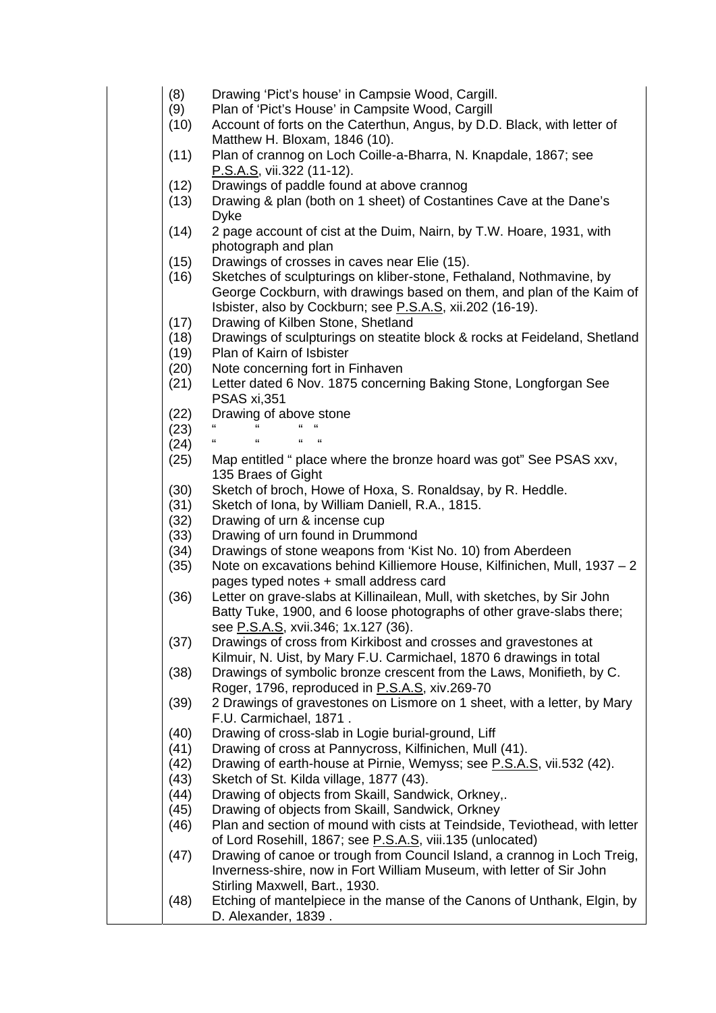- (8) Drawing 'Pict's house' in Campsie Wood, Cargill.
- (9) Plan of 'Pict's House' in Campsite Wood, Cargill
- (10) Account of forts on the Caterthun, Angus, by D.D. Black, with letter of Matthew H. Bloxam, 1846 (10).
- (11) Plan of crannog on Loch Coille-a-Bharra, N. Knapdale, 1867; see P.S.A.S, vii.322 (11-12).
- (12) Drawings of paddle found at above crannog
- (13) Drawing & plan (both on 1 sheet) of Costantines Cave at the Dane's Dyke
- (14) 2 page account of cist at the Duim, Nairn, by T.W. Hoare, 1931, with photograph and plan
- (15) Drawings of crosses in caves near Elie (15).
- (16) Sketches of sculpturings on kliber-stone, Fethaland, Nothmavine, by George Cockburn, with drawings based on them, and plan of the Kaim of Isbister, also by Cockburn; see P.S.A.S, xii.202 (16-19).
- (17) Drawing of Kilben Stone, Shetland
- (18) Drawings of sculpturings on steatite block & rocks at Feideland, Shetland
- (19) Plan of Kairn of Isbister
- (20) Note concerning fort in Finhaven
- (21) Letter dated 6 Nov. 1875 concerning Baking Stone, Longforgan See PSAS xi,351
- (22) Drawing of above stone
- $(23)$  " " " "  $(24)$  " " " "
- $(24)$
- (25) Map entitled " place where the bronze hoard was got" See PSAS xxv, 135 Braes of Gight
- (30) Sketch of broch, Howe of Hoxa, S. Ronaldsay, by R. Heddle.
- (31) Sketch of Iona, by William Daniell, R.A., 1815.
- (32) Drawing of urn & incense cup
- (33) Drawing of urn found in Drummond
- (34) Drawings of stone weapons from 'Kist No. 10) from Aberdeen
- (35) Note on excavations behind Killiemore House, Kilfinichen, Mull, 1937 2 pages typed notes + small address card
- (36) Letter on grave-slabs at Killinailean, Mull, with sketches, by Sir John Batty Tuke, 1900, and 6 loose photographs of other grave-slabs there; see P.S.A.S, xvii.346; 1x.127 (36).
- (37) Drawings of cross from Kirkibost and crosses and gravestones at Kilmuir, N. Uist, by Mary F.U. Carmichael, 1870 6 drawings in total
- (38) Drawings of symbolic bronze crescent from the Laws, Monifieth, by C. Roger, 1796, reproduced in P.S.A.S, xiv.269-70
- (39) 2 Drawings of gravestones on Lismore on 1 sheet, with a letter, by Mary F.U. Carmichael, 1871 .
- (40) Drawing of cross-slab in Logie burial-ground, Liff
- (41) Drawing of cross at Pannycross, Kilfinichen, Mull (41).
- (42) Drawing of earth-house at Pirnie, Wemyss; see P.S.A.S, vii.532 (42).
- (43) Sketch of St. Kilda village, 1877 (43).
- (44) Drawing of objects from Skaill, Sandwick, Orkney,.
- (45) Drawing of objects from Skaill, Sandwick, Orkney
- (46) Plan and section of mound with cists at Teindside, Teviothead, with letter of Lord Rosehill, 1867; see P.S.A.S, viii.135 (unlocated)
- (47) Drawing of canoe or trough from Council Island, a crannog in Loch Treig, Inverness-shire, now in Fort William Museum, with letter of Sir John Stirling Maxwell, Bart., 1930.
- (48) Etching of mantelpiece in the manse of the Canons of Unthank, Elgin, by D. Alexander, 1839 .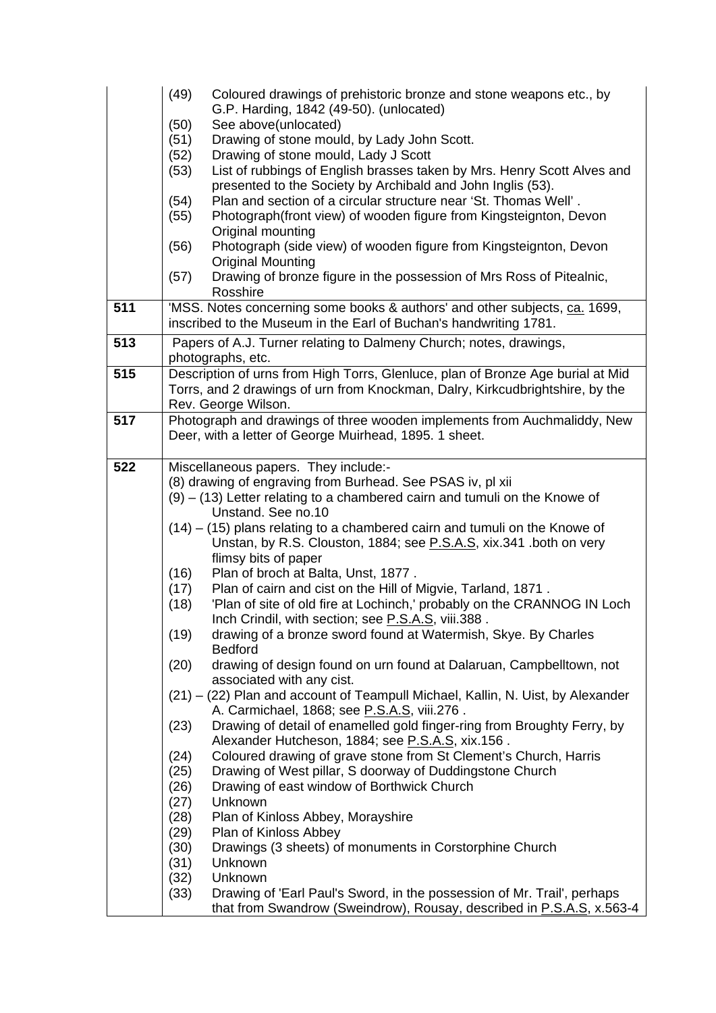|     | (49)<br>Coloured drawings of prehistoric bronze and stone weapons etc., by                                                                              |
|-----|---------------------------------------------------------------------------------------------------------------------------------------------------------|
|     | G.P. Harding, 1842 (49-50). (unlocated)                                                                                                                 |
|     | See above(unlocated)<br>(50)                                                                                                                            |
|     | (51)<br>Drawing of stone mould, by Lady John Scott.                                                                                                     |
|     | Drawing of stone mould, Lady J Scott<br>(52)<br>List of rubbings of English brasses taken by Mrs. Henry Scott Alves and<br>(53)                         |
|     | presented to the Society by Archibald and John Inglis (53).                                                                                             |
|     | Plan and section of a circular structure near 'St. Thomas Well'.<br>(54)                                                                                |
|     | Photograph(front view) of wooden figure from Kingsteignton, Devon<br>(55)                                                                               |
|     | Original mounting                                                                                                                                       |
|     | Photograph (side view) of wooden figure from Kingsteignton, Devon<br>(56)                                                                               |
|     | <b>Original Mounting</b>                                                                                                                                |
|     | Drawing of bronze figure in the possession of Mrs Ross of Pitealnic,<br>(57)                                                                            |
|     | Rosshire                                                                                                                                                |
| 511 | 'MSS. Notes concerning some books & authors' and other subjects, ca. 1699,                                                                              |
|     | inscribed to the Museum in the Earl of Buchan's handwriting 1781.                                                                                       |
| 513 | Papers of A.J. Turner relating to Dalmeny Church; notes, drawings,                                                                                      |
|     | photographs, etc.                                                                                                                                       |
| 515 | Description of urns from High Torrs, Glenluce, plan of Bronze Age burial at Mid                                                                         |
|     | Torrs, and 2 drawings of urn from Knockman, Dalry, Kirkcudbrightshire, by the                                                                           |
| 517 | Rev. George Wilson.<br>Photograph and drawings of three wooden implements from Auchmaliddy, New                                                         |
|     | Deer, with a letter of George Muirhead, 1895. 1 sheet.                                                                                                  |
|     |                                                                                                                                                         |
| 522 | Miscellaneous papers. They include:-                                                                                                                    |
|     | (8) drawing of engraving from Burhead. See PSAS iv, pl xii                                                                                              |
|     | $(9) - (13)$ Letter relating to a chambered cairn and tumuli on the Knowe of                                                                            |
|     | Unstand. See no.10                                                                                                                                      |
|     | $(14) - (15)$ plans relating to a chambered cairn and tumuli on the Knowe of                                                                            |
|     | Unstan, by R.S. Clouston, 1884; see P.S.A.S, xix.341 .both on very                                                                                      |
|     | flimsy bits of paper                                                                                                                                    |
|     | Plan of broch at Balta, Unst, 1877.<br>(16)                                                                                                             |
|     | Plan of cairn and cist on the Hill of Migvie, Tarland, 1871.<br>(17)<br>'Plan of site of old fire at Lochinch,' probably on the CRANNOG IN Loch<br>(18) |
|     | Inch Crindil, with section; see P.S.A.S, viii.388.                                                                                                      |
|     | (19)<br>drawing of a bronze sword found at Watermish, Skye. By Charles                                                                                  |
|     | <b>Bedford</b>                                                                                                                                          |
|     | drawing of design found on urn found at Dalaruan, Campbelltown, not<br>(20)                                                                             |
|     | associated with any cist.                                                                                                                               |
|     | (21) - (22) Plan and account of Teampull Michael, Kallin, N. Uist, by Alexander                                                                         |
|     | A. Carmichael, 1868; see P.S.A.S, viii.276.                                                                                                             |
|     | Drawing of detail of enamelled gold finger-ring from Broughty Ferry, by<br>(23)                                                                         |
|     | Alexander Hutcheson, 1884; see P.S.A.S, xix.156.<br>Coloured drawing of grave stone from St Clement's Church, Harris<br>(24)                            |
|     | Drawing of West pillar, S doorway of Duddingstone Church<br>(25)                                                                                        |
|     | Drawing of east window of Borthwick Church<br>(26)                                                                                                      |
|     | Unknown<br>(27)                                                                                                                                         |
|     | (28)<br>Plan of Kinloss Abbey, Morayshire                                                                                                               |
|     | Plan of Kinloss Abbey<br>(29)                                                                                                                           |
|     | (30)<br>Drawings (3 sheets) of monuments in Corstorphine Church                                                                                         |
|     | (31)<br>Unknown                                                                                                                                         |
|     | (32)<br>Unknown                                                                                                                                         |
|     | Drawing of 'Earl Paul's Sword, in the possession of Mr. Trail', perhaps<br>(33)                                                                         |
|     | that from Swandrow (Sweindrow), Rousay, described in P.S.A.S, x.563-4                                                                                   |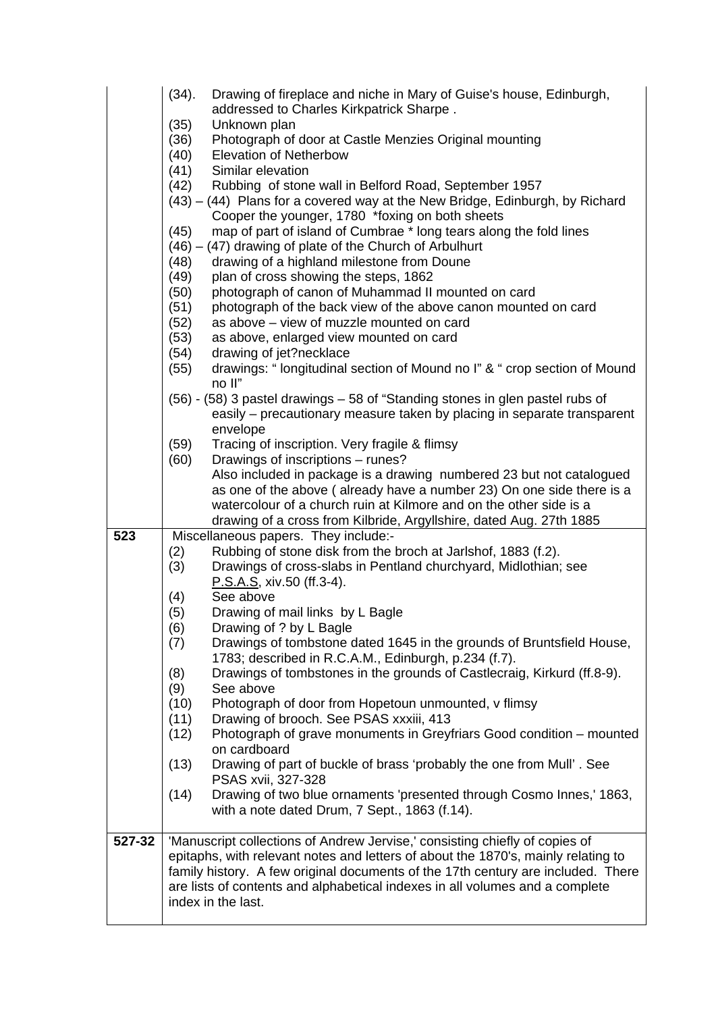|        | (34).        | Drawing of fireplace and niche in Mary of Guise's house, Edinburgh,                                                             |
|--------|--------------|---------------------------------------------------------------------------------------------------------------------------------|
|        |              | addressed to Charles Kirkpatrick Sharpe.                                                                                        |
|        | (35)         | Unknown plan                                                                                                                    |
|        | (36)         | Photograph of door at Castle Menzies Original mounting                                                                          |
|        | (40)         | <b>Elevation of Netherbow</b>                                                                                                   |
|        | (41)         | Similar elevation                                                                                                               |
|        | (42)         | Rubbing of stone wall in Belford Road, September 1957                                                                           |
|        |              | (43) – (44) Plans for a covered way at the New Bridge, Edinburgh, by Richard<br>Cooper the younger, 1780 *foxing on both sheets |
|        | (45)         | map of part of island of Cumbrae * long tears along the fold lines                                                              |
|        |              | $(46) - (47)$ drawing of plate of the Church of Arbulhurt                                                                       |
|        | (48)         | drawing of a highland milestone from Doune                                                                                      |
|        | (49)         | plan of cross showing the steps, 1862                                                                                           |
|        | (50)         | photograph of canon of Muhammad II mounted on card                                                                              |
|        | (51)         | photograph of the back view of the above canon mounted on card                                                                  |
|        | (52)<br>(53) | as above - view of muzzle mounted on card<br>as above, enlarged view mounted on card                                            |
|        | (54)         | drawing of jet?necklace                                                                                                         |
|        | (55)         | drawings: "longitudinal section of Mound no I" & " crop section of Mound                                                        |
|        |              | no II"                                                                                                                          |
|        |              | (56) - (58) 3 pastel drawings - 58 of "Standing stones in glen pastel rubs of                                                   |
|        |              | easily – precautionary measure taken by placing in separate transparent                                                         |
|        |              | envelope                                                                                                                        |
|        | (59)         | Tracing of inscription. Very fragile & flimsy                                                                                   |
|        | (60)         | Drawings of inscriptions - runes?                                                                                               |
|        |              | Also included in package is a drawing numbered 23 but not catalogued                                                            |
|        |              | as one of the above (already have a number 23) On one side there is a                                                           |
|        |              | watercolour of a church ruin at Kilmore and on the other side is a                                                              |
|        |              | drawing of a cross from Kilbride, Argyllshire, dated Aug. 27th 1885                                                             |
| 523    |              | Miscellaneous papers. They include:-<br>Rubbing of stone disk from the broch at Jarlshof, 1883 (f.2).                           |
|        | (2)<br>(3)   | Drawings of cross-slabs in Pentland churchyard, Midlothian; see                                                                 |
|        |              | P.S.A.S., xiv.50 (ff.3-4).                                                                                                      |
|        | (4)          | See above                                                                                                                       |
|        | (5)          | Drawing of mail links by L Bagle                                                                                                |
|        | (6)          | Drawing of ? by L Bagle                                                                                                         |
|        | (7)          | Drawings of tombstone dated 1645 in the grounds of Bruntsfield House,                                                           |
|        |              | 1783; described in R.C.A.M., Edinburgh, p.234 (f.7).                                                                            |
|        | (8)          | Drawings of tombstones in the grounds of Castlecraig, Kirkurd (ff.8-9).                                                         |
|        | (9)          | See above                                                                                                                       |
|        | (10)         | Photograph of door from Hopetoun unmounted, v flimsy                                                                            |
|        | (11)         | Drawing of brooch. See PSAS xxxiii, 413                                                                                         |
|        | (12)         | Photograph of grave monuments in Greyfriars Good condition – mounted<br>on cardboard                                            |
|        |              |                                                                                                                                 |
|        | (13)         | Drawing of part of buckle of brass 'probably the one from Mull'. See<br>PSAS xvii, 327-328                                      |
|        | (14)         | Drawing of two blue ornaments 'presented through Cosmo Innes,' 1863,                                                            |
|        |              | with a note dated Drum, 7 Sept., 1863 (f.14).                                                                                   |
|        |              |                                                                                                                                 |
| 527-32 |              | 'Manuscript collections of Andrew Jervise,' consisting chiefly of copies of                                                     |
|        |              | epitaphs, with relevant notes and letters of about the 1870's, mainly relating to                                               |
|        |              | family history. A few original documents of the 17th century are included. There                                                |
|        |              | are lists of contents and alphabetical indexes in all volumes and a complete                                                    |
|        |              | index in the last.                                                                                                              |
|        |              |                                                                                                                                 |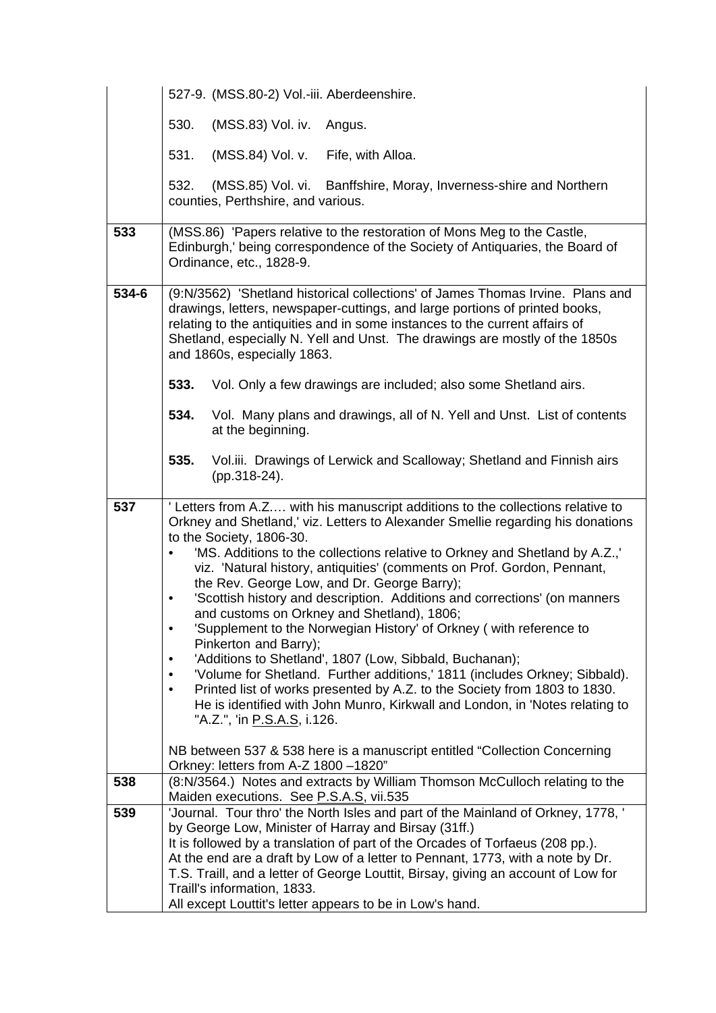|       | 527-9. (MSS.80-2) Vol.-iii. Aberdeenshire.                                                                                                                                                                                                                                                                                                                                                                                                                                                                                                                                                                                                                                                                                                                                                                                                                                                                                                                                                                                        |
|-------|-----------------------------------------------------------------------------------------------------------------------------------------------------------------------------------------------------------------------------------------------------------------------------------------------------------------------------------------------------------------------------------------------------------------------------------------------------------------------------------------------------------------------------------------------------------------------------------------------------------------------------------------------------------------------------------------------------------------------------------------------------------------------------------------------------------------------------------------------------------------------------------------------------------------------------------------------------------------------------------------------------------------------------------|
|       | 530.<br>(MSS.83) Vol. iv.<br>Angus.                                                                                                                                                                                                                                                                                                                                                                                                                                                                                                                                                                                                                                                                                                                                                                                                                                                                                                                                                                                               |
|       | 531.<br>(MSS.84) Vol. v.<br>Fife, with Alloa.                                                                                                                                                                                                                                                                                                                                                                                                                                                                                                                                                                                                                                                                                                                                                                                                                                                                                                                                                                                     |
|       | 532.<br>(MSS.85) Vol. vi. Banffshire, Moray, Inverness-shire and Northern<br>counties, Perthshire, and various.                                                                                                                                                                                                                                                                                                                                                                                                                                                                                                                                                                                                                                                                                                                                                                                                                                                                                                                   |
| 533   | (MSS.86) 'Papers relative to the restoration of Mons Meg to the Castle,<br>Edinburgh,' being correspondence of the Society of Antiquaries, the Board of<br>Ordinance, etc., 1828-9.                                                                                                                                                                                                                                                                                                                                                                                                                                                                                                                                                                                                                                                                                                                                                                                                                                               |
| 534-6 | (9:N/3562) 'Shetland historical collections' of James Thomas Irvine. Plans and<br>drawings, letters, newspaper-cuttings, and large portions of printed books,<br>relating to the antiquities and in some instances to the current affairs of<br>Shetland, especially N. Yell and Unst. The drawings are mostly of the 1850s<br>and 1860s, especially 1863.                                                                                                                                                                                                                                                                                                                                                                                                                                                                                                                                                                                                                                                                        |
|       | 533.<br>Vol. Only a few drawings are included; also some Shetland airs.                                                                                                                                                                                                                                                                                                                                                                                                                                                                                                                                                                                                                                                                                                                                                                                                                                                                                                                                                           |
|       | 534.<br>Vol. Many plans and drawings, all of N. Yell and Unst. List of contents<br>at the beginning.                                                                                                                                                                                                                                                                                                                                                                                                                                                                                                                                                                                                                                                                                                                                                                                                                                                                                                                              |
|       | 535.<br>Vol.iii. Drawings of Lerwick and Scalloway; Shetland and Finnish airs<br>(pp.318-24).                                                                                                                                                                                                                                                                                                                                                                                                                                                                                                                                                                                                                                                                                                                                                                                                                                                                                                                                     |
| 537   | 'Letters from A.Z with his manuscript additions to the collections relative to<br>Orkney and Shetland,' viz. Letters to Alexander Smellie regarding his donations<br>to the Society, 1806-30.<br>'MS. Additions to the collections relative to Orkney and Shetland by A.Z.,'<br>viz. 'Natural history, antiquities' (comments on Prof. Gordon, Pennant,<br>the Rev. George Low, and Dr. George Barry);<br>'Scottish history and description. Additions and corrections' (on manners<br>$\bullet$<br>and customs on Orkney and Shetland), 1806;<br>'Supplement to the Norwegian History' of Orkney (with reference to<br>$\bullet$<br>Pinkerton and Barry);<br>'Additions to Shetland', 1807 (Low, Sibbald, Buchanan);<br>'Volume for Shetland. Further additions,' 1811 (includes Orkney; Sibbald).<br>$\bullet$<br>Printed list of works presented by A.Z. to the Society from 1803 to 1830.<br>$\bullet$<br>He is identified with John Munro, Kirkwall and London, in 'Notes relating to<br>"A.Z.", 'in <u>P.S.A.S</u> , i.126. |
|       | NB between 537 & 538 here is a manuscript entitled "Collection Concerning<br>Orkney: letters from A-Z 1800 -1820"                                                                                                                                                                                                                                                                                                                                                                                                                                                                                                                                                                                                                                                                                                                                                                                                                                                                                                                 |
| 538   | (8:N/3564.) Notes and extracts by William Thomson McCulloch relating to the<br>Maiden executions. See P.S.A.S, vii.535                                                                                                                                                                                                                                                                                                                                                                                                                                                                                                                                                                                                                                                                                                                                                                                                                                                                                                            |
| 539   | 'Journal. Tour thro' the North Isles and part of the Mainland of Orkney, 1778, '<br>by George Low, Minister of Harray and Birsay (31ff.)<br>It is followed by a translation of part of the Orcades of Torfaeus (208 pp.).<br>At the end are a draft by Low of a letter to Pennant, 1773, with a note by Dr.<br>T.S. Traill, and a letter of George Louttit, Birsay, giving an account of Low for<br>Traill's information, 1833.<br>All except Louttit's letter appears to be in Low's hand.                                                                                                                                                                                                                                                                                                                                                                                                                                                                                                                                       |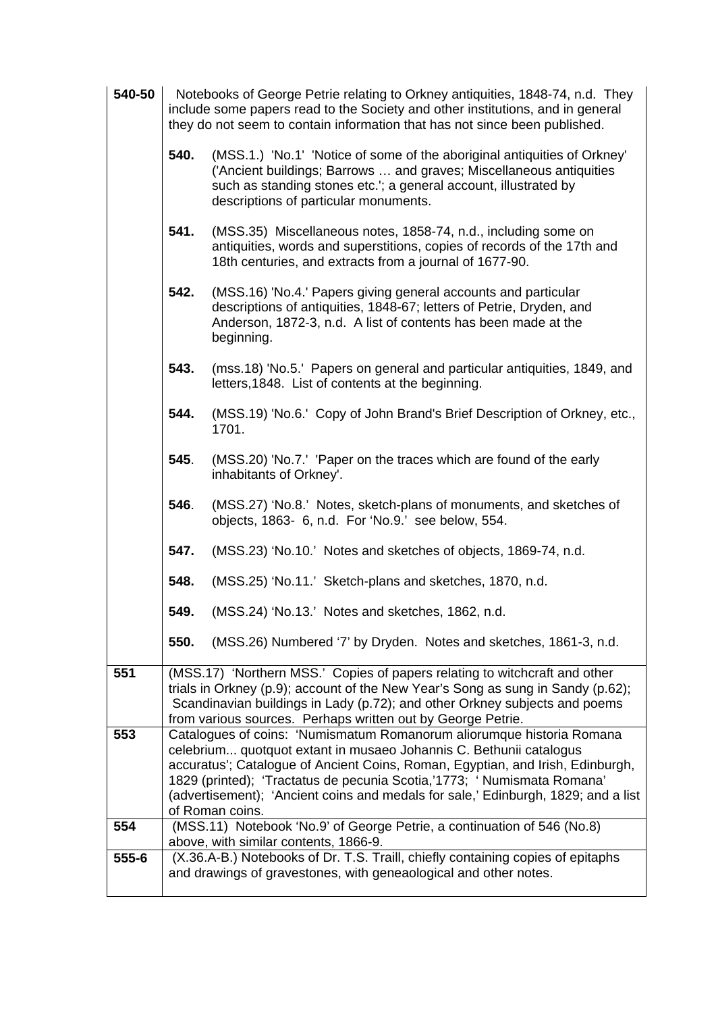| 540-50    | Notebooks of George Petrie relating to Orkney antiquities, 1848-74, n.d. They<br>include some papers read to the Society and other institutions, and in general<br>they do not seem to contain information that has not since been published. |                                                                                                                                                                                                                                                                                                                                                                                                                 |
|-----------|-----------------------------------------------------------------------------------------------------------------------------------------------------------------------------------------------------------------------------------------------|-----------------------------------------------------------------------------------------------------------------------------------------------------------------------------------------------------------------------------------------------------------------------------------------------------------------------------------------------------------------------------------------------------------------|
|           | 540.                                                                                                                                                                                                                                          | (MSS.1.) 'No.1' 'Notice of some of the aboriginal antiquities of Orkney'<br>('Ancient buildings; Barrows  and graves; Miscellaneous antiquities<br>such as standing stones etc.'; a general account, illustrated by<br>descriptions of particular monuments.                                                                                                                                                    |
|           | 541.                                                                                                                                                                                                                                          | (MSS.35) Miscellaneous notes, 1858-74, n.d., including some on<br>antiquities, words and superstitions, copies of records of the 17th and<br>18th centuries, and extracts from a journal of 1677-90.                                                                                                                                                                                                            |
|           | 542.                                                                                                                                                                                                                                          | (MSS.16) 'No.4.' Papers giving general accounts and particular<br>descriptions of antiquities, 1848-67; letters of Petrie, Dryden, and<br>Anderson, 1872-3, n.d. A list of contents has been made at the<br>beginning.                                                                                                                                                                                          |
|           | 543.                                                                                                                                                                                                                                          | (mss.18) 'No.5.' Papers on general and particular antiquities, 1849, and<br>letters, 1848. List of contents at the beginning.                                                                                                                                                                                                                                                                                   |
|           | 544.                                                                                                                                                                                                                                          | (MSS.19) 'No.6.' Copy of John Brand's Brief Description of Orkney, etc.,<br>1701.                                                                                                                                                                                                                                                                                                                               |
|           | 545.                                                                                                                                                                                                                                          | (MSS.20) 'No.7.' 'Paper on the traces which are found of the early<br>inhabitants of Orkney'.                                                                                                                                                                                                                                                                                                                   |
|           | 546.                                                                                                                                                                                                                                          | (MSS.27) 'No.8.' Notes, sketch-plans of monuments, and sketches of<br>objects, 1863- 6, n.d. For 'No.9.' see below, 554.                                                                                                                                                                                                                                                                                        |
|           | 547.                                                                                                                                                                                                                                          | (MSS.23) 'No.10.' Notes and sketches of objects, 1869-74, n.d.                                                                                                                                                                                                                                                                                                                                                  |
|           | 548.                                                                                                                                                                                                                                          | (MSS.25) 'No.11.' Sketch-plans and sketches, 1870, n.d.                                                                                                                                                                                                                                                                                                                                                         |
|           | 549.                                                                                                                                                                                                                                          | (MSS.24) 'No.13.' Notes and sketches, 1862, n.d.                                                                                                                                                                                                                                                                                                                                                                |
|           | 550.                                                                                                                                                                                                                                          | (MSS.26) Numbered '7' by Dryden. Notes and sketches, 1861-3, n.d.                                                                                                                                                                                                                                                                                                                                               |
| 551       |                                                                                                                                                                                                                                               | (MSS.17) 'Northern MSS.' Copies of papers relating to witchcraft and other<br>trials in Orkney (p.9); account of the New Year's Song as sung in Sandy (p.62);<br>Scandinavian buildings in Lady (p.72); and other Orkney subjects and poems<br>from various sources. Perhaps written out by George Petrie.                                                                                                      |
| 553       |                                                                                                                                                                                                                                               | Catalogues of coins: 'Numismatum Romanorum aliorumque historia Romana<br>celebrium quotquot extant in musaeo Johannis C. Bethunii catalogus<br>accuratus'; Catalogue of Ancient Coins, Roman, Egyptian, and Irish, Edinburgh,<br>1829 (printed); 'Tractatus de pecunia Scotia,'1773; 'Numismata Romana'<br>(advertisement); 'Ancient coins and medals for sale,' Edinburgh, 1829; and a list<br>of Roman coins. |
| 554       |                                                                                                                                                                                                                                               | (MSS.11) Notebook 'No.9' of George Petrie, a continuation of 546 (No.8)<br>above, with similar contents, 1866-9.                                                                                                                                                                                                                                                                                                |
| $555 - 6$ |                                                                                                                                                                                                                                               | (X.36.A-B.) Notebooks of Dr. T.S. Traill, chiefly containing copies of epitaphs<br>and drawings of gravestones, with geneaological and other notes.                                                                                                                                                                                                                                                             |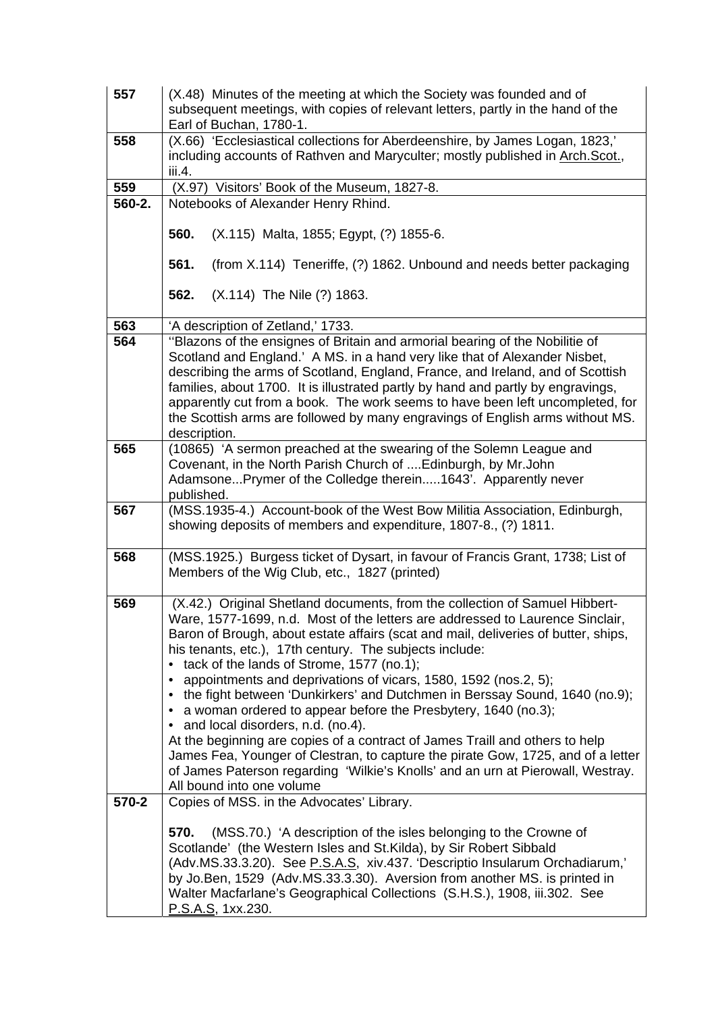| 557    | (X.48) Minutes of the meeting at which the Society was founded and of<br>subsequent meetings, with copies of relevant letters, partly in the hand of the<br>Earl of Buchan, 1780-1.                                                                                                                                                                                                                                                                                                                                                                                                                                                                                                                                                                                                                                                                                        |
|--------|----------------------------------------------------------------------------------------------------------------------------------------------------------------------------------------------------------------------------------------------------------------------------------------------------------------------------------------------------------------------------------------------------------------------------------------------------------------------------------------------------------------------------------------------------------------------------------------------------------------------------------------------------------------------------------------------------------------------------------------------------------------------------------------------------------------------------------------------------------------------------|
| 558    | (X.66) 'Ecclesiastical collections for Aberdeenshire, by James Logan, 1823,'<br>including accounts of Rathven and Maryculter; mostly published in Arch.Scot.,<br>iii.4.                                                                                                                                                                                                                                                                                                                                                                                                                                                                                                                                                                                                                                                                                                    |
| 559    | (X.97) Visitors' Book of the Museum, 1827-8.                                                                                                                                                                                                                                                                                                                                                                                                                                                                                                                                                                                                                                                                                                                                                                                                                               |
| 560-2. | Notebooks of Alexander Henry Rhind.                                                                                                                                                                                                                                                                                                                                                                                                                                                                                                                                                                                                                                                                                                                                                                                                                                        |
|        | 560.<br>(X.115) Malta, 1855; Egypt, (?) 1855-6.                                                                                                                                                                                                                                                                                                                                                                                                                                                                                                                                                                                                                                                                                                                                                                                                                            |
|        | 561.<br>(from X.114) Teneriffe, (?) 1862. Unbound and needs better packaging                                                                                                                                                                                                                                                                                                                                                                                                                                                                                                                                                                                                                                                                                                                                                                                               |
|        | 562.<br>(X.114) The Nile (?) 1863.                                                                                                                                                                                                                                                                                                                                                                                                                                                                                                                                                                                                                                                                                                                                                                                                                                         |
| 563    | 'A description of Zetland,' 1733.                                                                                                                                                                                                                                                                                                                                                                                                                                                                                                                                                                                                                                                                                                                                                                                                                                          |
| 564    | "Blazons of the ensignes of Britain and armorial bearing of the Nobilitie of<br>Scotland and England.' A MS. in a hand very like that of Alexander Nisbet,<br>describing the arms of Scotland, England, France, and Ireland, and of Scottish<br>families, about 1700. It is illustrated partly by hand and partly by engravings,<br>apparently cut from a book. The work seems to have been left uncompleted, for<br>the Scottish arms are followed by many engravings of English arms without MS.<br>description.                                                                                                                                                                                                                                                                                                                                                         |
| 565    | (10865) 'A sermon preached at the swearing of the Solemn League and<br>Covenant, in the North Parish Church of  Edinburgh, by Mr. John<br>AdamsonePrymer of the Colledge therein1643'. Apparently never<br>published.                                                                                                                                                                                                                                                                                                                                                                                                                                                                                                                                                                                                                                                      |
| 567    | (MSS.1935-4.) Account-book of the West Bow Militia Association, Edinburgh,<br>showing deposits of members and expenditure, 1807-8., (?) 1811.                                                                                                                                                                                                                                                                                                                                                                                                                                                                                                                                                                                                                                                                                                                              |
| 568    | (MSS.1925.) Burgess ticket of Dysart, in favour of Francis Grant, 1738; List of<br>Members of the Wig Club, etc., 1827 (printed)                                                                                                                                                                                                                                                                                                                                                                                                                                                                                                                                                                                                                                                                                                                                           |
| 569    | (X.42.) Original Shetland documents, from the collection of Samuel Hibbert-<br>Ware, 1577-1699, n.d. Most of the letters are addressed to Laurence Sinclair,<br>Baron of Brough, about estate affairs (scat and mail, deliveries of butter, ships,<br>his tenants, etc.), 17th century. The subjects include:<br>tack of the lands of Strome, 1577 (no.1);<br>appointments and deprivations of vicars, 1580, 1592 (nos.2, 5);<br>the fight between 'Dunkirkers' and Dutchmen in Berssay Sound, 1640 (no.9);<br>a woman ordered to appear before the Presbytery, 1640 (no.3);<br>• and local disorders, n.d. (no.4).<br>At the beginning are copies of a contract of James Traill and others to help<br>James Fea, Younger of Clestran, to capture the pirate Gow, 1725, and of a letter<br>of James Paterson regarding 'Wilkie's Knolls' and an urn at Pierowall, Westray. |
| 570-2  | All bound into one volume<br>Copies of MSS. in the Advocates' Library.                                                                                                                                                                                                                                                                                                                                                                                                                                                                                                                                                                                                                                                                                                                                                                                                     |
|        | 570.<br>(MSS.70.) 'A description of the isles belonging to the Crowne of<br>Scotlande' (the Western Isles and St.Kilda), by Sir Robert Sibbald<br>(Adv.MS.33.3.20). See P.S.A.S, xiv.437. 'Descriptio Insularum Orchadiarum,'<br>by Jo.Ben, 1529 (Adv.MS.33.3.30). Aversion from another MS. is printed in<br>Walter Macfarlane's Geographical Collections (S.H.S.), 1908, iii.302. See<br>P.S.A.S, 1xx.230.                                                                                                                                                                                                                                                                                                                                                                                                                                                               |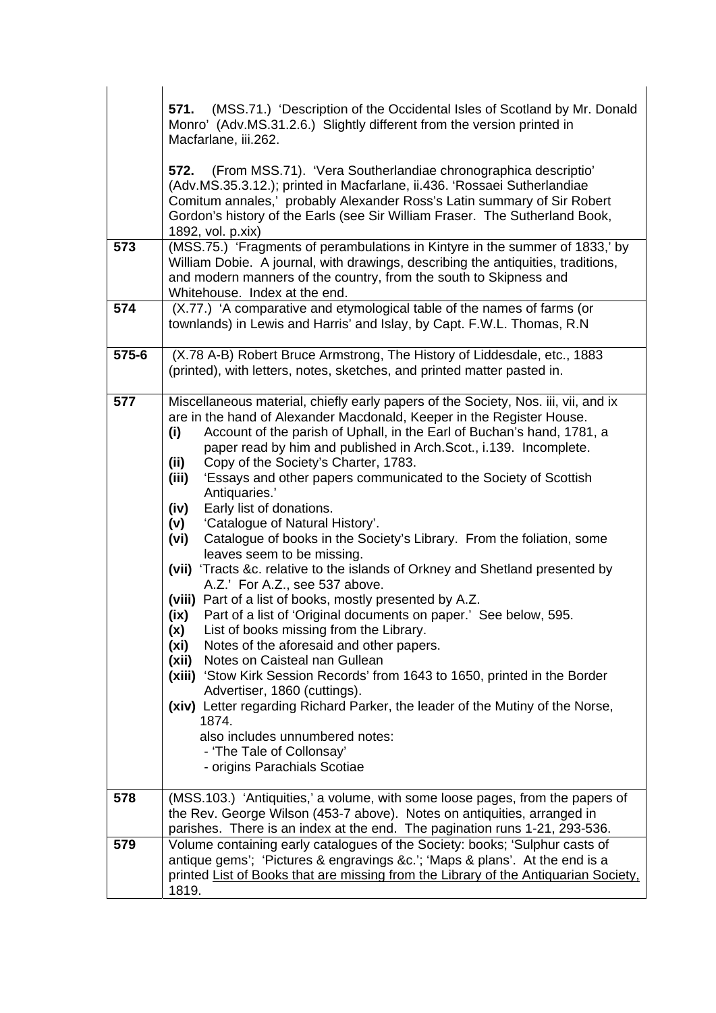|       | (MSS.71.) 'Description of the Occidental Isles of Scotland by Mr. Donald<br>571.<br>Monro' (Adv.MS.31.2.6.) Slightly different from the version printed in<br>Macfarlane, iii.262.                                                                                                                                                                                                                                                                                                                                                                                                                                                                                                                                                                                                                                                                                                                                                                                                                                                                                                                                                                                                                                                                                                                                                                                                |
|-------|-----------------------------------------------------------------------------------------------------------------------------------------------------------------------------------------------------------------------------------------------------------------------------------------------------------------------------------------------------------------------------------------------------------------------------------------------------------------------------------------------------------------------------------------------------------------------------------------------------------------------------------------------------------------------------------------------------------------------------------------------------------------------------------------------------------------------------------------------------------------------------------------------------------------------------------------------------------------------------------------------------------------------------------------------------------------------------------------------------------------------------------------------------------------------------------------------------------------------------------------------------------------------------------------------------------------------------------------------------------------------------------|
|       | (From MSS.71). 'Vera Southerlandiae chronographica descriptio'<br>572.<br>(Adv.MS.35.3.12.); printed in Macfarlane, ii.436. 'Rossaei Sutherlandiae<br>Comitum annales,' probably Alexander Ross's Latin summary of Sir Robert<br>Gordon's history of the Earls (see Sir William Fraser. The Sutherland Book,<br>1892, vol. p.xix)                                                                                                                                                                                                                                                                                                                                                                                                                                                                                                                                                                                                                                                                                                                                                                                                                                                                                                                                                                                                                                                 |
| 573   | (MSS.75.) 'Fragments of perambulations in Kintyre in the summer of 1833,' by<br>William Dobie. A journal, with drawings, describing the antiquities, traditions,<br>and modern manners of the country, from the south to Skipness and<br>Whitehouse. Index at the end.                                                                                                                                                                                                                                                                                                                                                                                                                                                                                                                                                                                                                                                                                                                                                                                                                                                                                                                                                                                                                                                                                                            |
| 574   | (X.77.) 'A comparative and etymological table of the names of farms (or<br>townlands) in Lewis and Harris' and Islay, by Capt. F.W.L. Thomas, R.N                                                                                                                                                                                                                                                                                                                                                                                                                                                                                                                                                                                                                                                                                                                                                                                                                                                                                                                                                                                                                                                                                                                                                                                                                                 |
| 575-6 | (X.78 A-B) Robert Bruce Armstrong, The History of Liddesdale, etc., 1883<br>(printed), with letters, notes, sketches, and printed matter pasted in.                                                                                                                                                                                                                                                                                                                                                                                                                                                                                                                                                                                                                                                                                                                                                                                                                                                                                                                                                                                                                                                                                                                                                                                                                               |
| 577   | Miscellaneous material, chiefly early papers of the Society, Nos. iii, vii, and ix<br>are in the hand of Alexander Macdonald, Keeper in the Register House.<br>Account of the parish of Uphall, in the Earl of Buchan's hand, 1781, a<br>(i)<br>paper read by him and published in Arch. Scot., i.139. Incomplete.<br>Copy of the Society's Charter, 1783.<br>(ii)<br>'Essays and other papers communicated to the Society of Scottish<br>(iii)<br>Antiquaries.'<br>Early list of donations.<br>(iv)<br>'Catalogue of Natural History'.<br>(v)<br>Catalogue of books in the Society's Library. From the foliation, some<br>(vi)<br>leaves seem to be missing.<br>(vii) 'Tracts &c. relative to the islands of Orkney and Shetland presented by<br>A.Z.' For A.Z., see 537 above.<br>(viii) Part of a list of books, mostly presented by A.Z.<br>Part of a list of 'Original documents on paper.' See below, 595.<br>(ix)<br>List of books missing from the Library.<br>(x)<br>Notes of the aforesaid and other papers.<br>(xi)<br>Notes on Caisteal nan Gullean<br>(xii)<br>(xiii) 'Stow Kirk Session Records' from 1643 to 1650, printed in the Border<br>Advertiser, 1860 (cuttings).<br>(xiv) Letter regarding Richard Parker, the leader of the Mutiny of the Norse,<br>1874.<br>also includes unnumbered notes:<br>- 'The Tale of Collonsay'<br>- origins Parachials Scotiae |
| 578   | (MSS.103.) 'Antiquities,' a volume, with some loose pages, from the papers of<br>the Rev. George Wilson (453-7 above). Notes on antiquities, arranged in<br>parishes. There is an index at the end. The pagination runs 1-21, 293-536.                                                                                                                                                                                                                                                                                                                                                                                                                                                                                                                                                                                                                                                                                                                                                                                                                                                                                                                                                                                                                                                                                                                                            |
| 579   | Volume containing early catalogues of the Society: books; 'Sulphur casts of<br>antique gems'; 'Pictures & engravings &c.'; 'Maps & plans'. At the end is a<br>printed List of Books that are missing from the Library of the Antiquarian Society,<br>1819.                                                                                                                                                                                                                                                                                                                                                                                                                                                                                                                                                                                                                                                                                                                                                                                                                                                                                                                                                                                                                                                                                                                        |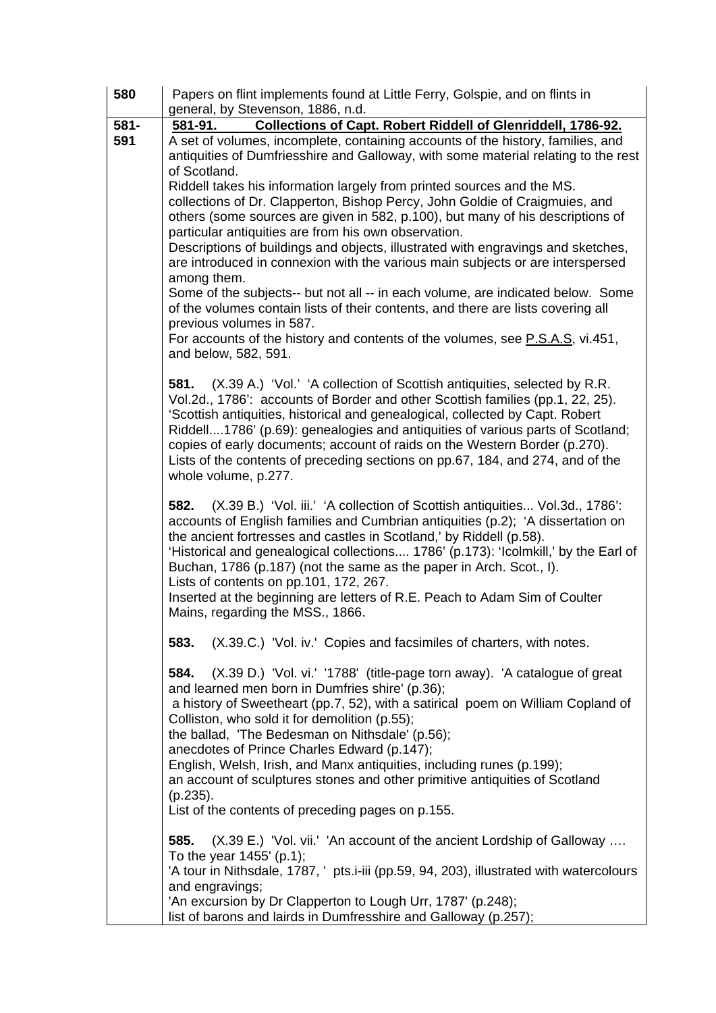| 580  | Papers on flint implements found at Little Ferry, Golspie, and on flints in                                                                                     |
|------|-----------------------------------------------------------------------------------------------------------------------------------------------------------------|
|      | general, by Stevenson, 1886, n.d.                                                                                                                               |
| 581- | Collections of Capt. Robert Riddell of Glenriddell, 1786-92.<br>581-91.                                                                                         |
| 591  | A set of volumes, incomplete, containing accounts of the history, families, and                                                                                 |
|      | antiquities of Dumfriesshire and Galloway, with some material relating to the rest                                                                              |
|      | of Scotland.                                                                                                                                                    |
|      | Riddell takes his information largely from printed sources and the MS.                                                                                          |
|      | collections of Dr. Clapperton, Bishop Percy, John Goldie of Craigmuies, and                                                                                     |
|      | others (some sources are given in 582, p.100), but many of his descriptions of                                                                                  |
|      | particular antiquities are from his own observation.<br>Descriptions of buildings and objects, illustrated with engravings and sketches,                        |
|      | are introduced in connexion with the various main subjects or are interspersed                                                                                  |
|      | among them.                                                                                                                                                     |
|      | Some of the subjects-- but not all -- in each volume, are indicated below. Some                                                                                 |
|      | of the volumes contain lists of their contents, and there are lists covering all                                                                                |
|      | previous volumes in 587.                                                                                                                                        |
|      | For accounts of the history and contents of the volumes, see P.S.A.S, vi.451,                                                                                   |
|      | and below, 582, 591.                                                                                                                                            |
|      |                                                                                                                                                                 |
|      | (X.39 A.) 'Vol.' 'A collection of Scottish antiquities, selected by R.R.<br>581.                                                                                |
|      | Vol.2d., 1786': accounts of Border and other Scottish families (pp.1, 22, 25).                                                                                  |
|      | 'Scottish antiquities, historical and genealogical, collected by Capt. Robert<br>Riddell1786' (p.69): genealogies and antiquities of various parts of Scotland; |
|      | copies of early documents; account of raids on the Western Border (p.270).                                                                                      |
|      | Lists of the contents of preceding sections on pp.67, 184, and 274, and of the                                                                                  |
|      | whole volume, p.277.                                                                                                                                            |
|      |                                                                                                                                                                 |
|      | (X.39 B.) 'Vol. iii.' 'A collection of Scottish antiquities Vol.3d., 1786':<br>582.                                                                             |
|      | accounts of English families and Cumbrian antiquities (p.2); 'A dissertation on                                                                                 |
|      | the ancient fortresses and castles in Scotland,' by Riddell (p.58).                                                                                             |
|      | 'Historical and genealogical collections 1786' (p.173): 'Icolmkill,' by the Earl of                                                                             |
|      | Buchan, 1786 (p.187) (not the same as the paper in Arch. Scot., I).<br>Lists of contents on pp.101, 172, 267.                                                   |
|      | Inserted at the beginning are letters of R.E. Peach to Adam Sim of Coulter                                                                                      |
|      | Mains, regarding the MSS., 1866.                                                                                                                                |
|      |                                                                                                                                                                 |
|      | (X.39.C.) 'Vol. iv.' Copies and facsimiles of charters, with notes.<br>583.                                                                                     |
|      | 584.<br>(X.39 D.) 'Vol. vi.' '1788' (title-page torn away). 'A catalogue of great                                                                               |
|      | and learned men born in Dumfries shire' (p.36);                                                                                                                 |
|      | a history of Sweetheart (pp.7, 52), with a satirical poem on William Copland of                                                                                 |
|      | Colliston, who sold it for demolition (p.55);                                                                                                                   |
|      | the ballad, 'The Bedesman on Nithsdale' (p.56);                                                                                                                 |
|      | anecdotes of Prince Charles Edward (p.147);                                                                                                                     |
|      | English, Welsh, Irish, and Manx antiquities, including runes (p.199);                                                                                           |
|      | an account of sculptures stones and other primitive antiquities of Scotland                                                                                     |
|      | $(p.235)$ .                                                                                                                                                     |
|      | List of the contents of preceding pages on p.155.                                                                                                               |
|      | 585.<br>(X.39 E.) 'Vol. vii.' 'An account of the ancient Lordship of Galloway                                                                                   |
|      | To the year $1455'$ (p.1);                                                                                                                                      |
|      | 'A tour in Nithsdale, 1787, ' pts.i-iii (pp.59, 94, 203), illustrated with watercolours                                                                         |
|      | and engravings;                                                                                                                                                 |
|      | 'An excursion by Dr Clapperton to Lough Urr, 1787' (p.248);                                                                                                     |
|      | list of barons and lairds in Dumfresshire and Galloway (p.257);                                                                                                 |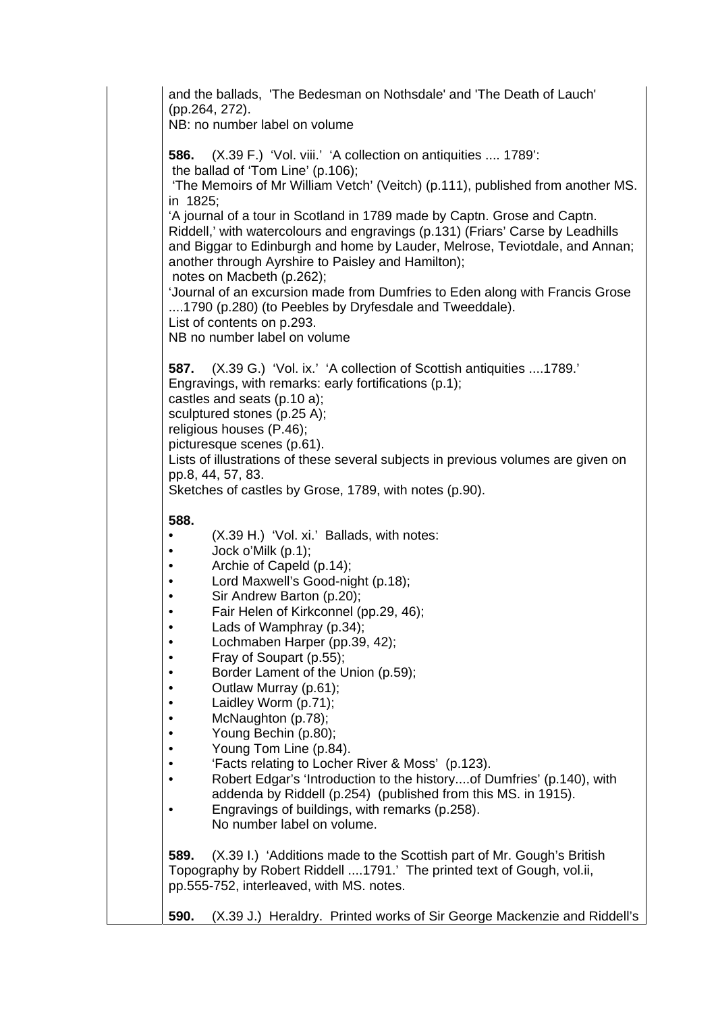and the ballads, 'The Bedesman on Nothsdale' and 'The Death of Lauch' (pp.264, 272). NB: no number label on volume **586.** (X.39 F.) 'Vol. viii.' 'A collection on antiquities .... 1789': the ballad of 'Tom Line' (p.106); 'The Memoirs of Mr William Vetch' (Veitch) (p.111), published from another MS. in 1825; 'A journal of a tour in Scotland in 1789 made by Captn. Grose and Captn. Riddell,' with watercolours and engravings (p.131) (Friars' Carse by Leadhills and Biggar to Edinburgh and home by Lauder, Melrose, Teviotdale, and Annan; another through Ayrshire to Paisley and Hamilton); notes on Macbeth (p.262); 'Journal of an excursion made from Dumfries to Eden along with Francis Grose ....1790 (p.280) (to Peebles by Dryfesdale and Tweeddale). List of contents on p.293. NB no number label on volume **587.** (X.39 G.) 'Vol. ix.' 'A collection of Scottish antiquities ....1789.' Engravings, with remarks: early fortifications (p.1); castles and seats (p.10 a); sculptured stones (p.25 A); religious houses (P.46); picturesque scenes (p.61). Lists of illustrations of these several subjects in previous volumes are given on pp.8, 44, 57, 83. Sketches of castles by Grose, 1789, with notes (p.90). **588.**  • (X.39 H.) 'Vol. xi.' Ballads, with notes: • Jock o'Milk (p.1); • Archie of Capeld (p.14); • Lord Maxwell's Good-night (p.18); • Sir Andrew Barton (p.20); • Fair Helen of Kirkconnel (pp.29, 46); • Lads of Wamphray (p.34); • Lochmaben Harper (pp.39, 42); • Fray of Soupart (p.55); • Border Lament of the Union (p.59); • Outlaw Murray (p.61); • Laidley Worm (p.71); • McNaughton (p.78); • Young Bechin (p.80); • Young Tom Line (p.84). • 'Facts relating to Locher River & Moss' (p.123). • Robert Edgar's 'Introduction to the history....of Dumfries' (p.140), with addenda by Riddell (p.254) (published from this MS. in 1915). • Engravings of buildings, with remarks (p.258). No number label on volume. **589.** (X.39 I.) 'Additions made to the Scottish part of Mr. Gough's British Topography by Robert Riddell ....1791.' The printed text of Gough, vol.ii, pp.555-752, interleaved, with MS. notes. **590.** (X.39 J.) Heraldry. Printed works of Sir George Mackenzie and Riddell's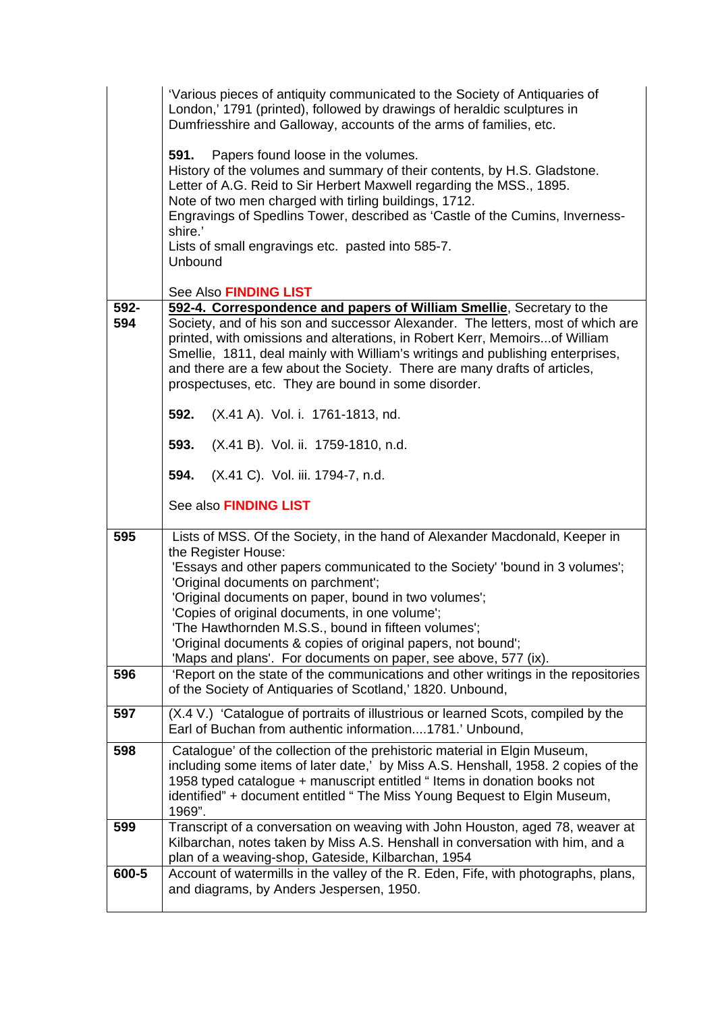|             | 'Various pieces of antiquity communicated to the Society of Antiquaries of<br>London,' 1791 (printed), followed by drawings of heraldic sculptures in<br>Dumfriesshire and Galloway, accounts of the arms of families, etc.                                                                                                                                                                                                                                                                                                |
|-------------|----------------------------------------------------------------------------------------------------------------------------------------------------------------------------------------------------------------------------------------------------------------------------------------------------------------------------------------------------------------------------------------------------------------------------------------------------------------------------------------------------------------------------|
|             | 591.<br>Papers found loose in the volumes.<br>History of the volumes and summary of their contents, by H.S. Gladstone.<br>Letter of A.G. Reid to Sir Herbert Maxwell regarding the MSS., 1895.<br>Note of two men charged with tirling buildings, 1712.<br>Engravings of Spedlins Tower, described as 'Castle of the Cumins, Inverness-<br>shire.'                                                                                                                                                                         |
|             | Lists of small engravings etc. pasted into 585-7.<br>Unbound                                                                                                                                                                                                                                                                                                                                                                                                                                                               |
|             | See Also FINDING LIST                                                                                                                                                                                                                                                                                                                                                                                                                                                                                                      |
| 592-<br>594 | 592-4. Correspondence and papers of William Smellie, Secretary to the<br>Society, and of his son and successor Alexander. The letters, most of which are<br>printed, with omissions and alterations, in Robert Kerr, Memoirs of William<br>Smellie, 1811, deal mainly with William's writings and publishing enterprises,<br>and there are a few about the Society. There are many drafts of articles,<br>prospectuses, etc. They are bound in some disorder.                                                              |
|             | 592.<br>(X.41 A). Vol. i. 1761-1813, nd.                                                                                                                                                                                                                                                                                                                                                                                                                                                                                   |
|             | 593.<br>(X.41 B). Vol. ii. 1759-1810, n.d.                                                                                                                                                                                                                                                                                                                                                                                                                                                                                 |
|             | (X.41 C). Vol. iii. 1794-7, n.d.<br>594.                                                                                                                                                                                                                                                                                                                                                                                                                                                                                   |
|             | See also FINDING LIST                                                                                                                                                                                                                                                                                                                                                                                                                                                                                                      |
| 595         | Lists of MSS. Of the Society, in the hand of Alexander Macdonald, Keeper in<br>the Register House:<br>'Essays and other papers communicated to the Society' 'bound in 3 volumes';<br>'Original documents on parchment';<br>'Original documents on paper, bound in two volumes';<br>'Copies of original documents, in one volume';<br>'The Hawthornden M.S.S., bound in fifteen volumes';<br>'Original documents & copies of original papers, not bound';<br>'Maps and plans'. For documents on paper, see above, 577 (ix). |
| 596         | 'Report on the state of the communications and other writings in the repositories<br>of the Society of Antiquaries of Scotland,' 1820. Unbound,                                                                                                                                                                                                                                                                                                                                                                            |
| 597         | (X.4 V.) 'Catalogue of portraits of illustrious or learned Scots, compiled by the<br>Earl of Buchan from authentic information1781.' Unbound,                                                                                                                                                                                                                                                                                                                                                                              |
| 598         | Catalogue' of the collection of the prehistoric material in Elgin Museum,<br>including some items of later date,' by Miss A.S. Henshall, 1958. 2 copies of the<br>1958 typed catalogue + manuscript entitled " Items in donation books not<br>identified" + document entitled " The Miss Young Bequest to Elgin Museum,<br>1969".                                                                                                                                                                                          |
| 599         | Transcript of a conversation on weaving with John Houston, aged 78, weaver at<br>Kilbarchan, notes taken by Miss A.S. Henshall in conversation with him, and a<br>plan of a weaving-shop, Gateside, Kilbarchan, 1954                                                                                                                                                                                                                                                                                                       |
| 600-5       | Account of watermills in the valley of the R. Eden, Fife, with photographs, plans,<br>and diagrams, by Anders Jespersen, 1950.                                                                                                                                                                                                                                                                                                                                                                                             |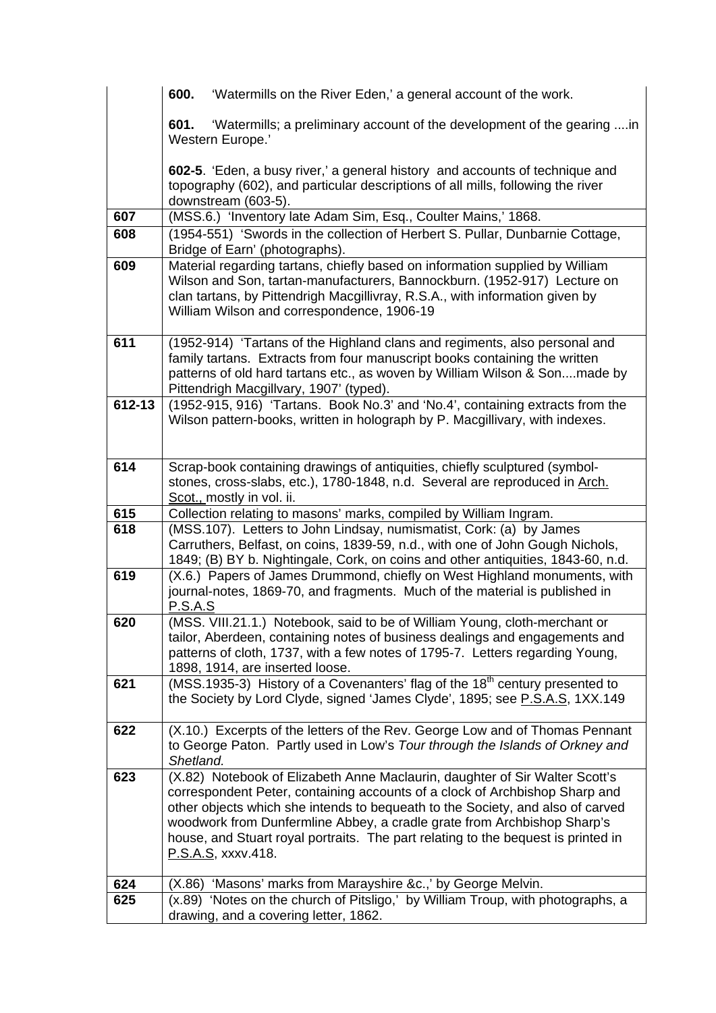|        | 600.<br>'Watermills on the River Eden,' a general account of the work.                                                                                       |
|--------|--------------------------------------------------------------------------------------------------------------------------------------------------------------|
|        | 'Watermills; a preliminary account of the development of the gearing in<br>601.<br>Western Europe.'                                                          |
|        | 602-5. 'Eden, a busy river,' a general history and accounts of technique and                                                                                 |
|        | topography (602), and particular descriptions of all mills, following the river<br>downstream (603-5).                                                       |
| 607    | (MSS.6.) 'Inventory late Adam Sim, Esq., Coulter Mains,' 1868.                                                                                               |
| 608    | (1954-551) 'Swords in the collection of Herbert S. Pullar, Dunbarnie Cottage,                                                                                |
|        | Bridge of Earn' (photographs).                                                                                                                               |
| 609    | Material regarding tartans, chiefly based on information supplied by William                                                                                 |
|        | Wilson and Son, tartan-manufacturers, Bannockburn. (1952-917) Lecture on                                                                                     |
|        | clan tartans, by Pittendrigh Macgillivray, R.S.A., with information given by<br>William Wilson and correspondence, 1906-19                                   |
|        |                                                                                                                                                              |
| 611    | (1952-914) 'Tartans of the Highland clans and regiments, also personal and                                                                                   |
|        | family tartans. Extracts from four manuscript books containing the written                                                                                   |
|        | patterns of old hard tartans etc., as woven by William Wilson & Sonmade by                                                                                   |
| 612-13 | Pittendrigh Macgillvary, 1907' (typed).<br>(1952-915, 916) 'Tartans. Book No.3' and 'No.4', containing extracts from the                                     |
|        | Wilson pattern-books, written in holograph by P. Macgillivary, with indexes.                                                                                 |
|        |                                                                                                                                                              |
|        |                                                                                                                                                              |
| 614    | Scrap-book containing drawings of antiquities, chiefly sculptured (symbol-                                                                                   |
|        | stones, cross-slabs, etc.), 1780-1848, n.d. Several are reproduced in Arch.<br>Scot., mostly in vol. ii.                                                     |
| 615    | Collection relating to masons' marks, compiled by William Ingram.                                                                                            |
| 618    | (MSS.107). Letters to John Lindsay, numismatist, Cork: (a) by James                                                                                          |
|        | Carruthers, Belfast, on coins, 1839-59, n.d., with one of John Gough Nichols,                                                                                |
|        | 1849; (B) BY b. Nightingale, Cork, on coins and other antiquities, 1843-60, n.d.                                                                             |
| 619    | (X.6.) Papers of James Drummond, chiefly on West Highland monuments, with                                                                                    |
|        | journal-notes, 1869-70, and fragments. Much of the material is published in                                                                                  |
| 620    | <u>P.S.A.S</u><br>(MSS. VIII.21.1.) Notebook, said to be of William Young, cloth-merchant or                                                                 |
|        | tailor, Aberdeen, containing notes of business dealings and engagements and                                                                                  |
|        | patterns of cloth, 1737, with a few notes of 1795-7. Letters regarding Young,                                                                                |
|        | 1898, 1914, are inserted loose.                                                                                                                              |
| 621    | (MSS.1935-3) History of a Covenanters' flag of the 18 <sup>th</sup> century presented to                                                                     |
|        | the Society by Lord Clyde, signed 'James Clyde', 1895; see P.S.A.S, 1XX.149                                                                                  |
| 622    | (X.10.) Excerpts of the letters of the Rev. George Low and of Thomas Pennant                                                                                 |
|        | to George Paton. Partly used in Low's Tour through the Islands of Orkney and                                                                                 |
|        | Shetland.                                                                                                                                                    |
| 623    | (X.82) Notebook of Elizabeth Anne Maclaurin, daughter of Sir Walter Scott's                                                                                  |
|        | correspondent Peter, containing accounts of a clock of Archbishop Sharp and                                                                                  |
|        | other objects which she intends to bequeath to the Society, and also of carved                                                                               |
|        | woodwork from Dunfermline Abbey, a cradle grate from Archbishop Sharp's<br>house, and Stuart royal portraits. The part relating to the bequest is printed in |
|        | P.S.A.S, xxxv.418.                                                                                                                                           |
|        |                                                                                                                                                              |
| 624    | 'Masons' marks from Marayshire &c.,' by George Melvin.<br>(X.86)                                                                                             |
| 625    | (x.89) 'Notes on the church of Pitsligo,' by William Troup, with photographs, a                                                                              |
|        | drawing, and a covering letter, 1862.                                                                                                                        |